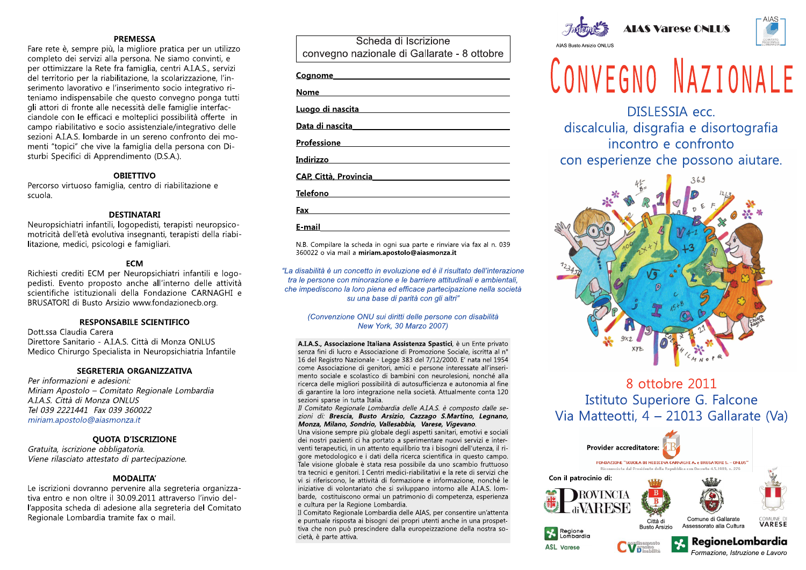**PREMESSA**<br>**PREMESSA**<br>
are rete è, sempre più, la migliore pratica per u<br>
ompleto dei servizi alla persona. Ne siamo con<br>
er ottimizzare la Rete fra famiglia, centri A.I.A.S<br>
el territorio per la riabilitazione, la scolari **PREMESSA**<br>
rete è, sempre più, la migliore pratica per un u<br>
lleto dei servizi alla persona. Ne siamo convint<br>
ttimizzare la Rete fra famiglia, centri A.I.A.S., ser<br>
rritorio per la riabilitazione, la scolarizzazione,<br>
en **PREMESSA**<br>
Fare rete è, sempre più, la migliore pratica per un utiliz<br>
completo dei servizi alla persona. Ne siamo convinti, e<br>
per ottimizzare la Rete fra famiglia, centri A.I.A.S., servi:<br>
del territorio per la riabilit **PREME**<br>
Fare rete è, sempre più, la mig<br>
completo dei servizi alla perso<br>
per ottimizzare la Rete fra fam<br>
del territorio per la riabilitazion<br>
serimento lavorativo e l'inserin<br>
teniamo indispensabile che qu<br>
gli attori d **PREMESS**<br>
Fare rete è, sempre più, la miglio<br>
completo dei servizi alla persona<br>
per ottimizzare la Rete fra famigl<br>
del territorio per la riabilitazione,<br>
serimento lavorativo e l'inserimer<br>
teniamo indispensabile che qu **PREMESSA**<br>
Fare rete è, sempre più, la migliore pratic<br>
completo dei servizi alla persona. Ne siar<br>
per ottimizzare la Rete fra famiglia, centr<br>
del territorio per la riabilitazione, la scola<br>
serimento lavorativo e l'ins **PREMESSA**<br>
Fare rete è, sempre più, la migliore pratica pe<br>
completo dei servizi alla persona. Ne siamo c<br>
per ottimizzare la Rete fra famiglia, centri A.I.,<br>
del territorio per la riabilitazione, la scolarizza<br>
serimento **PREMESSA**<br>
re rete è, sempre più, la migliore pratica per u<br>
mpleto dei servizi alla persona. Ne siamo con<br>
r ottimizzare la Rete fra famiglia, centri A.I.A.S.<br>
I territorio per la riabilitazione, la scolarizzazio<br>
riment **PREMESSA**<br>rete è, sempre più, la migliore pratica per un utilizzo<br>pleto dei servizi alla persona. Ne siamo convinti, e<br>ottimizzare la Rete fra famiglia, centri A.I.A.S., servizi<br>erritorio per la riabilitazione, la scolari **PREMESSA**<br>
empre più, la migliore pratica per un utilizzo<br>
servizi alla persona. Ne siamo convinti, e<br>
e la Rete fra famiglia, centri A.I.A.S., servizi<br>
per la riabilitazione, la scolarizzazione, l'in-<br>
orativo e l'inseri **PREMESSA**<br>iù, la migliore pratica per un utilizzo<br>alla persona. Ne siamo convinti, e<br>e fra famiglia, centri A.I.A.S., servizi<br>abilitazione, la scolarizzazione, l'in-<br>e l'inserimento socio integrativo ri-<br>le che questo con **REMESSA**<br>a migliore pratica per un utilizzo<br>persona. Ne siamo convinti, e<br>a famiglia, centri A.I.A.S., servizi<br>tazione, la scolarizzazione, l'in-<br>nserimento socio integrativo ri-<br>ne questo convegno ponga tutti<br>cessità del **PREMESSA**<br> **PREMESSA**<br>
Fare rete è, sempre più, la migliore pratica per un utilizzo<br>
completo dei servizi alla persona. Ne siamo convinti, e<br>
per ottimizzare la Rete fra famiglia, centri A.I.A.S., servizi<br>
del territorio **PREMESSA**<br>
Fare rete è, sempre più, la migliore<br>
completo dei servizi alla persona. N<br>
per ottimizzare la Rete fra famiglia,<br>
del territorio per la riabilitazione, la<br>
serimento lavorativo e l'inserimento<br>
teniamo indispe **PREMESSA**<br>
Fare rete è, sempre più, la migliore pratica<br>
completo dei servizi alla persona. Ne siam<br>
per ottimizzare la Rete fra famiglia, centri<br>
del territorio per la riabilitazione, la scolar<br>
serimento lavorativo e l' **PREMESSA**<br>**PREMESSA**<br>Fare rete è, sempre più, la migliore pratica per<br>completo dei servizi alla persona. Ne siamo co<br>per ottimizzare la Rete fra famiglia, centri A.I.A<br>del territorio per la riabilitazione, la scolarizzaz<br> **PREMESSA**<br>**PREMESSA**<br>**PREMESSA**<br>**PREMESSA**<br>**PREMESSA**<br>**PREMESSA**<br>**PREMESSA**<br>**PREMESSA**<br>**PREMESSA**<br>**PREMESSA**<br>**DREMESSA**<br>**DREMESSA**<br>**DREMESSA**<br>**DREMESSA**<br>**DREMESSA**<br>**PERMEMES**<br>**PERMEMES**<br>**PERMEMES**<br>**PERMEMES**<br>**PERMEMES**<br>**P PREMESSA**<br>
sempre più, la migliore pratica per un utilizzo<br>
ei servizi alla persona. Ne siamo convinti, e<br>
are la Rete fra famiglia, centri A.I.A.S., servizi<br>
per la riabilitazione, la scolarizzazione, l'in-<br>
vorativo e l **PREMESSA**<br>pre più, la migliore pratica per un utilizzo<br>rvizi alla persona. Ne siamo convinti, e<br>la Rete fra famiglia, centri A.I.A.S., servizi<br>r la riabilitazione, la scolarizzazione, l'in-<br>ativo e l'inserimento socio int **PREMESSA**<br> **A**, la migliore pratica per un utilizzo<br>
la persona. Ne siamo convinti, e<br>
fra famiglia, centri A.I.A.S., servizi<br>
bilitazione, la scolarizzazione, l'in-<br>
l'inserimento socio integrativo ri-<br>
e che questo conv **PREMESSA**<br> **EXECTED: PREMESSA**<br> **EXECT AND THE COMPLET COMPLETED:** THE PREMESSA<br>
per ottimizzare la Rete fra famiglia, centri A.I.A.S., servizi<br>
del territorio per la riabilitazione, la scolarizzazione, l'in-<br>
serimento **PREMESSA**<br>
Fare rete è, sempre più, la migliore p<br>
completo dei servizi alla persona. Ne<br>
per ottimizzare la Rete fra famiglia, c<br>
del territorio per la riabilitazione, la s<br>
serimento lavorativo e l'inserimento :<br>
teniam **PREMESSA**<br>
Fare rete è, sempre più, la migliore prat<br>
completo dei servizi alla persona. Ne si<br>
per ottimizzare la Rete fra famiglia, cen<br>
del territorio per la riabilitazione, la sco<br>
serimento lavorativo e l'inserimento **PREMESSA**<br>**PREMESSA**<br>**Example Example 10** and in a migliore pratica p<br>completo dei servizi alla persona. Ne siamo<br>per ottimizzare la Rete fra famiglia, centri A.I<br>del territorio per la riabilitazione, la scolarizz<br>serimen **PREMESSA**<br>**PREMESSA**<br>
are rete è, sempre più, la migliore pratica per u<br>
ompleto dei servizi alla persona. Ne siamo cor<br>
er ottimizzare la Rete fra famiglia, centri A.I.A.S<br>
el territorio per la riabilitazione, la scolari **PREMESSA**<br>rete è, sempre più, la migliore pratica per un utilizzo<br>oleto dei servizi alla persona. Ne siamo convinti, e<br>ottimizzare la Rete fra famiglia, centri A.I.A.S., servizi<br>erritorio per la riabilitazione, la scolari **PREMESSA**<br>mpre più, la migliore pratica per un utilizzo<br>servizi alla persona. Ne siamo convinti, e<br>e la Rete fra famiglia, centri A.I.A.S., servizi<br>oer la riabilitazione, la scolarizzazione, l'in-<br>orativo e l'inserimento **PREMESSA**<br>più, la migliore pratica per un utilizzo<br>alla persona. Ne siamo convinti, e<br>te fra famiglia, centri A.I.A.S., servizi<br>riabilitazione, la scolarizzazione, l'in-<br>e l'inserimento socio integrativo ri-<br>pile che ques **PREMESSA**<br> **EXERCISSED: PREMESSA**<br> **EXERCISEDENT COMPLET ALLER CONDITED AND THE CONDITED AND COPPOSE (CODENTIFY ALLER THE PREMENDIAL CONDITIONS, SEVITY del territorio per la riabilitazione, la scolarizzazione, l'in-<br>
se PREMESSA**<br>
Fare rete è, sempre più, la migliore<br>
completo dei servizi alla persona.<br>
per ottimizzare la Rete fra famiglia<br>
del territorio per la riabilitazione, la<br>
serimento lavorativo e l'inseriment<br>
teniamo indispensab **PREMESSA**<br>
Fare rete è, sempre più, la migliore pra<br>
completo dei servizi alla persona. Ne s<br>
per ottimizzare la Rete fra famiglia, ce<br>
del territorio per la riabilitazione, la sc<br>
serimento lavorativo e l'inserimento sc<br> **PREMESSA**<br>
Fare rete è, sempre più, la migliore pratic<br>
completo dei servizi alla persona. Ne sian<br>
per ottimizzare la Rete fra famiglia, centr<br>
del territorio per la riabilitazione, la scola<br>
serimento lavorativo e l'ins **PREMESSA**<br> **EXECTS FREMESSA**<br> **EXECTS FREMESSA**<br> **EXECTS FREMESSA**<br> **EXECTS FREMESSA**<br> **EXECTS FREMESSA**<br> **EXECTS FREMESSA**<br> **EXECTS FREMESSA**<br> **EXECTS FREMESSA**<br> **EXECTS FREMENTS**<br> **EXECTS**<br> **EXECTS**<br> **EXECTS**<br> **EXECTS**<br> **PREMESSA**<br>sempre più, la migliore pratica per un utilizzo<br>ei servizi alla persona. Ne siamo convinti, e<br>are la Rete fra famiglia, centri A.I.A.S., servizi<br>o per la riabilitazione, la scolarizzazione, l'in-<br>avorativo e l'i **PREMESSA**<br>
mpre più, la migliore pratica per un utilizzo<br>
servizi alla persona. Ne siamo convinti, e<br>
e la Rete fra famiglia, centri A.I.A.S., servizi<br>
ver la riabilitazione, la scolarizzazione, l'in-<br>
prativo e l'inserim **PREMESSA**<br> **Example de Sample più, la migliore pratica per un utilizzo**<br>
completo dei servizi alla persona. Ne siamo convinti, e<br>
per ottimizzare la Rete fra famiglia, centri A.I.A.S., servizi<br>
del territorio per la riabi **PREMESSA**<br>
Fare rete è, sempre più, la migliore pratica<br>
completo dei servizi alla persona. Ne siam<br>
per ottimizzare la Rete fra famiglia, centri<br>
del territorio per la riabilitazione, la scolari<br>
serimento lavorativo e l **PREMESSA**<br>
Fare rete è, sempre più, la migliore pratica p<br>
completo dei servizi alla persona. Ne siamo<br>
per ottimizzare la Rete fra famiglia, centri A.<br>
del territorio per la riabilitazione, la scolarizz<br>
serimento lavora **PREMESSA**<br>**PREMESSA**<br>
are rete è, sempre più, la migliore pratica per un utilizzo<br>
ompleto dei servizi alla persona. Ne siamo convinti, e<br>
er ottimizzare la Rete fra famiglia, centri A.I.A.S., servizi<br>
el territorio per l **PREMESSA**<br>
mpre più, la migliore pratica per un utilizzo<br>
servizi alla persona. Ne siamo convinti, e<br>
la Rete fra famiglia, centri A.I.A.S., servizi<br>
er la riabilitazione, la scolarizzazione, l'in-<br>
rativo e l'inserimento **PREMESSA**<br>
biù, la migliore pratica per un utilizzo<br>
alla persona. Ne siamo convinti, e<br>
te fra famiglia, centri A.I.A.S., servizi<br>
iabilitazione, la scolarizzazione, l'in-<br>
e l'inserimento socio integrativo ri-<br>
ile che **PREMESSA**<br> **Example to the Completo dei servizi alla persona. Ne signton** convinti, e<br>
per ottimizzare la Rete fra famiglia, centri ALAS, servizi<br>
del territorio per la riabilitazione, la scolarizzazione, l'in-<br>
serimento **PREMESSA**<br> **PREMESSA**<br>
Fare rete è, sempre più, la migliore pratica pe<br>
completo dei servizi alla persona. Ne siamo o<br>
per ottimizzare la Rete fra famiglia, centri A.I<br>
del territorio per la riabilitazione, la scolarizza<br> **PREMESSA**<br>**PREMESSA**<br>**PREMESSA**<br>**PREMESSA**<br>**PREMESSA**<br>**PREMESSA**<br>**PREMESSA**<br>**PREMESSA**<br>**PREMESSA**<br>**PREMESSA**<br>**PREMESSA**<br>**PREMENTAIREM CONTO CONTO CONTE TO CONTE <br>
PREMENTAIRE TIME ANDEPTING<br>
<b>PERMEME ASSA**<br>
PREMENTAIRE TH **PREMESSA**<br>
ete è, sempre più, la migliore pratica per un utilizze<br>
eto dei servizi alla persona. Ne siamo convinti, e<br>
timizzare la Rete fra famiglia, centri A.I.A.S., servizi<br>
pritorio per la riabilitazione, la scolarizz **PREMESSA**<br>
empre più, la migliore pratica per un utilizzo<br>
servizi alla persona. Ne siamo convinti, e<br>
re la Rete fra famiglia, centri A.I.A.S., servizi<br>
per la riabilitazione, la scolarizzazione, l'in-<br>
orativo e l'inser **PREMESSA**<br>
la migliore pratica per un utilizzo<br>
persona. Ne siamo convinti, e<br>
ra famiglia, centri A.I.A.S., servizi<br>
litazione, la scolarizzazione, l'in-<br>
inserimento socio integrativo ri-<br>
che questo convegno ponga tutt **PREMESSA**<br>
Fare rete è, sempre più, la migliore pratica per un utilizzo<br>
completo dei servizi alla persona. Ne siamo convinti, e<br>
per ottimizzare la Rete fra famiglia, centri A.I.A.S., servizi<br>
del territorio per la riabi **PREME**<br> **PREME**<br>
Fare rete è, sempre più, la mig<br>
completo dei servizi alla perso<br>
per ottimizzare la Rete fra fam<br>
del territorio per la riabilitazion<br>
serimento lavorativo e l'inserin<br>
teniamo indispensabile che qu<br>
gli **PREMESS**<br> **PREMESS**<br> **PREMESS**<br> **COMPLESS**<br> **PREMESS**<br> **PREMESS**<br> **PREMESS**<br> **PREMESS**<br> **PREMESS**<br> **PREMESS**<br> **PREMESS**<br> **PREMESS**<br> **PREMENES**<br> **PREMENES**<br> **PREMENES**<br> **PREMENES**<br> **PREMENES**<br> **PREMENES**<br> **PREMENES**<br> **PREM PREMESSA**<br>
Fare rete è, sempre più, la migliore prat<br>
completo dei servizi alla persona. Ne sia<br>
per ottimizzare la Rete fra famiglia, cent<br>
del territorio per la riabilitazione, la scol<br>
serimento lavorativo e l'inserime **PREMESSA**<br>
Fare rete è, sempre più, la migliore pratica p<br>
completo dei servizi alla persona. Ne siamo<br>
per ottimizzare la Rete fra famiglia, centri A.<br>
del territorio per la riabilitazione, la scolarizz<br>
serimento lavora **PREMESSA**<br> **PREMESSA**<br>
France rete è, sempre più, la migliore pratica per un util<br>
completo dei servizi alla persona. Ne siamo convinti,<br>
ber ottimizzare la Rete fra famiglia, centri A.I.A.S., servel<br>
del territorio per l **PREMESSA**<br>
precedentica per un utilizzo<br>
dei servizi alla persona. Ne siamo convinti, e<br>
zzare la Rete fra famiglia, centri A.I.A.S., servizi<br>
io per la riabilitazione, la scolarizzazione, l'in-<br>
lavorativo e l'inseriment **PREMESSA**<br>pre più, la migliore pratica per un utilizzo<br>rvizi alla persona. Ne siamo convinti, e<br>la Rete fra famiglia, centri A.I.A.S., servizi<br>r la riabilitazione, la scolarizzazione, l'in-<br>tivo e l'inserimento socio inte **PREMESSA**<br>
Fare rete è, sempre più, la migliore pratica per un utilizzo<br>
completo dei servizi alla persona. Ne siamo convinti, e<br>
per ottimizzare la Rete fra famiglia, centri A.I.A.S., servizi<br>
del territorio per la raibi **EXEMENSION**<br>
Fare rete è, sempre più, la migliore<br>
completo dei servizi alla persona. I<br>
per ottimizzare la Rete fra famiglia<br>
del territorio per la riabilitazione, la<br>
serimento lavorativo e l'inseriment<br>
teniamo indispe **EXERICATE:**<br>
France etc. A sempre più, la migliore p<br>
completo dei servizi alla persona. Ne<br>
per ottimizzare la Rete fra famiglia, co<br>
del territorio per la riabilitazione, la s<br>
serimento lavorativo e l'inserimento s<br>
te **EXEMPLESSA**<br>
Fare rete è, sempre più, la migliore pratica pe<br>
completo dei servizi alla persona. Ne siamo o<br>
per ottimizzare la Rete fra famiglia, centri A.I<br>
del territorio per la riabilitazione, la scolarizza<br>
serimento **PREMIESSA**<br>
PREMIESSA<br>
PREMIESSA<br>
proposed provide in a migliore pratica per<br>
proposed provide is ervizi alla persona. Ne siamo co<br>
per ottimizzare la Rete fra famiglia, centri A.I.A<br>
el territorio per la riabilitazione, **EXECT EXECT DE SERVALUSTE CONTROVIDY CONSOLERATION CONSTRET CONSOLERATION CONSTRET UP ON STANDARY AND CONTROVIDY CONSTRET UP (DETERVALUST) the propertion of the propertion of the proof of the proof of the proof of the pro EXEMPLE EXECTS ENTIREM EXECTS ENTIRED EXECTS SERVIZI alla persona. Ne siamo convinti, e<br>e la Rete fra famiglia, centri A.I.A.S., servizi<br>per la riabilitazione, la scolarizzazione, l'in-<br>protivo e l'inserimento socio integ EXERCISSA**<br>
a migliore pratica per un utilizzo<br>
persona. Ne siamo convinti, e<br>
a famiglia, centri A.I.A.S., servizi<br>
itazione, la scolarizzazione, l'in-<br>
ne questo convegno ponga tutti<br>
recessità delle famiglie interfac-<br> SA<br>
SA<br>
SA The pratica per un utilizzo<br>
a. Ne siamo convinti, e<br>
lia, centri A.I.A.S., servizi<br>
, la scolarizzazione, l'in-<br>
mto socio integrativo ri-<br>
sto convegno ponga tutti<br>
delle famiglie interfac-<br>
lici possibilità o Fare rete è, sempre più, la migliore pratica per un utilizzo<br>
completo dei servizi alla persona. Ne siamo convinti, e<br>
per ottimizzare la Rete fra famiglia, centri A.I.A.S., servizi<br>
del territorio per la riabilitazione, l Fare fete e, sempre piu, la migliore praticompleto dei servizi alla persona. Ne sia<br>per ottimizzare la Rete fra famiglia, centi<br>del territorio per la riabilitazione, la scola<br>serimento lavorativo e l'inserimento soci<br>tenia rale rete e, sempre piu, la migliote pratica<br>completo dei servizi alla persona. Ne siam<br>per ottimizzare la Rete fra famiglia, centri del territorio per la riabilitazione, la scolari<br>serimento lavorativo e l'inserimento soc rate rete e, sempre piu, la migliote pratica per u<br>completo dei servizi alla persona. Ne siamo com<br>per ottimizzare la Rete fra famiglia, centri A.I.A.S<br>del territorio per la riabilitazione, la scolarizzazio<br>serimento lavor etie e, sempre piu, la mignote pratica per un utilizzo<br>oleto dei servizi alla persona. Ne siamo convinti, e<br>tritimizzare la Rete fra famiglia, centri A.I.A.S., servizi<br>reritorio per la riabilitazione, la scolarizzazione, l raie de le seinpe piu, la imiginie piatra d'est de l'antista per un unitzo de pertinizzare la Rete fra famiglia, centri A.I.A.S., servizi<br>del territorio per la riabilitazione, la scolarizzazione, l'in-<br>serimento lavorativo Completo del servizi ana persona. Nel<br>per ottimizzare la Rete fra famiglia, del territorio per la riabilitazione, la<br>serimento lavorativo e l'inserimento<br>teniamo indispensabile che questo dell<br>ciandole con le efficaci e mo Completo del servizi alla persona. Ne siamo completo dei servizi alla persona. Ne siamo co<br>per ottimizzare la Rete fra famiglia, centri A.I.A<br>del territorio per la riabilitazione, la scolarizzaz<br>serimento lavorativo e l'in npieto dei servizi ana persona. Ne siamo convintinizzare la Rete fra famiglia, centri A.I.A.S.<br>territorio per la riabilitazione, la scolarizzazion<br>imento lavorativo e l'inserimento socio integra<br>iamo indispensabile che que reto del servizi ana persona, ive siamo convinualmente del servizi ana persona, ive siamo convinualmente differenti<br>timizzare la Rete fra famiglia, centri A.I.A.S., se<br>pritorio per la riabilitazione, la scolarizzazione,<br>no Transformation and personal intervals and personal intervals in the dizzare la Rete fra famiglia, centri A.I.A.S., servizionio per la riabilitazione, la scolarizzazione, l'in-<br>plavorativo e l'inserimento socio integrativo VIZI ana persona. Ne siamo convinti, e<br>a Rete fra famiglia, centri A.I.A.S., servizi<br>la riabilitazione, la scolarizzazione, l'in-<br>tivo e l'inserimento socio integrativo ri-<br>nsabile che questo convegno ponga tutti<br>e alle ne Framiglia, centri A.I.A.S., servizi<br>
zione, la scolarizzazione, l'in-<br>
rimento socio integrativo ri-<br>
questo convegno ponga tutti<br>
sistià delle famiglie interfac-<br>
luolteplici possibilità offerte in<br>
assistenziale/integrat competo del servizi ana persona. Ne siamo commune dei servizi del territorio per la riabilitazione, la scolarizzazione, l'in-<br>serimento lavorativo e l'inserimento socio integrativo ri-<br>teniamo indispensabile che questo con per otumizzare la Rete tra lamiglia,<br>del territorio per la riabilitazione, la<br>serimento lavorativo e l'inserimento<br>teniamo indispensabile che questo<br>gli attori di fronte alle necessità del<br>ciandole con le efficaci e moltep per otumizzare la Rete fra famiglia, centre del territorio per la riabilitazione, la scol<br>serimento lavorativo e l'inserimento soc<br>teniamo indispensabile che questo conv<br>gli attori di fronte alle necessità delle fa<br>ciandol per otumizzare la Rete ira l'amiglia, centri A.i.<br>
del territorio per la riabilitazione, la scolarizz<br>
serimento lavorativo e l'inserimento socio in<br>
teniamo indispensabile che questo convegno<br>
gli attori di fronte alle ne er otumizzare la Rete fra lamiglia, centri A.I.A.<br>el territorio per la riabilitazione, la scolarizzazi<br>erimento lavorativo e l'inserimento socio integeniamo indispensabile che questo convegno p<br>li attori di fronte alle nec outmizzare la Rete la familigita, centri A.I.A.S., servizione del territorio per la riabilitazione, la scolarizzazione, l'in-<br>mento lavorativo e l'inserimento socio integrativo ri-<br>amo indispensabile che questo convegno po are la Rete ira lamiglia, centri A.I.A.S., servizi<br>per la riabilitazione, la scolarizzazione, l'in-<br>vorativo e l'inserimento socio integrativo ri-<br>spensabile che questo convegno ponga tutti<br>ironte alle necessità delle fami Rete ira lamiglia, centri A.I.A.S., servizi<br>a riabilitazione, la scolarizzazione, l'in-<br>vo e l'inserimento socio integrativo ri-<br>abile che questo convegno ponga tutti<br>alle necessità delle famiglie interfac-<br>ficaci e moltep Triedale and Contract Contract Contract Contract Contract Contract Contract Contract Contract Contract Control<br>
1 and the family interfaction of the antistic convergence of the antisotic Contract Contract Contract Contract per orumizzare la Neue Ira Tamillula, centri A.I.A.S., servizi<br>del territorio per la riabilitazione, la scolarizzazio, l'in-<br>serimento lavorativo e l'inserimento socio integrativo ri-<br>teniamo indispensabile che questo conv del territorio per la riabilitazione, la serimento lavorativo e l'inserimento<br>serimento lavorativo e l'inserimento<br>teniamo indispensabile che questo c<br>gli attori di fronte alle necessità delle<br>ciandole con le efficaci e mo del territorio per la riabilitazione, la sconsitante di serifiere di serifiere di serifiere di serifiere di di<br>territorio di fronte alle necessità delle findicale con della territoria delle findicale con le efficaci e molt del territorio per la riabilitazione, la scolarizzazione, i in-<br>serimento lavorativo e l'inserimento socio integrativo ri<br>teniamo indispensabile che questo convegno ponga tu<br>gli attori di fronte alle necessità delle famigl el territorio per la nabilitazione, la scolarizzazione, i in-<br>erimento lavorativo e l'inserimento socio integrativo ri-<br>eniamo indispensabile che questo convegno ponga tutti<br>li attori di fronte alle necessità delle famigli reinanto interpretadore che questo convegno ponga tu gli attori di fronte alle necessità delle famiglie interfaccionale cando cindole con le efficaci e molteplici possibilità offerte campo riabilitativo e socio assistenzia gir attori di fronte alle recessita delle raciandole con le efficaci e molteplici pos<br>campo riabilitativo e socio assistenziale<br>sezioni A.I.A.S. lombarde in un sereno d<br>menti "topici" che vive la famiglia della<br>sturbi Spec gii attori di rionte alle recessita delle ramiglie in<br>ciandole con le efficaci e molteplici possibilità of<br>campo riabilitativo e socio assistenziale/integrati<br>sezioni A.I.A.S. lombarde in un sereno confronto<br>menti "topici" dori di rionte alle necessità delle lamiglie interfac-<br>ole con le efficaci e molteplici possibilità offerte i<br>io riabilitativo e socio assistenziale/integrativo delle<br>in A.I.A.S. lombarde in un sereno confronto dei mo<br>i "t ronte alle necessita delle ramigie interfac-<br>
le efficaci e molteplici possibilità offerte in<br>
itativo e socio assistenziale/integrativo delle<br>
S. lombarde in un sereno confronto dei mo-<br>
i" che vive la famiglia della pers nte alle necessita delle lamighe interiac-<br>
efficaci e molteplici possibilità offerte in<br>
tivo e socio assistenziale/integrativo delle<br>
lombarde in un sereno confronto dei mo-<br>
che vive la famiglia della persona con Di-<br>
d gii attori u fronte aine recessival delle la ringue interfacte<br>
ciandole con le efficaci e molteplici possibilità offerte in<br>
campo riabilitativo e socio assistenziale/integrativo delle<br>
sezioni A.I.A.S. lombarde in un ser **PROMISSA product part of diffusion control of the set of the set of the set of the set of the set of the set of the set of the set of the set of the set of the set of the set of the set of the set of the set of the set o** 

Sezioni A.I.A.S. Tombarde in un sereno comronto dei mo-<br>menti "topici" che vive la famiglia della persona con Di-<br>sturbi Specifici di Apprendimento (D.S.A.).<br>**OBIETTIVO**<br>Percorso virtuoso famiglia, centro di riabilitazione menti topici che vive la famiglia della perso<br>sturbi Specifici di Apprendimento (D.S.A.).<br>**OBIETTIVO**<br>Percorso virtuoso famiglia, centro di riabilitazi<br>scuola.<br>**DESTINATARI**<br>Neuropsichiatri infantili, logopedisti, terapist mini topici che vive la familigita della persona con Di-<br> **OBIETTIVO**<br>
rcorso virtuoso famiglia, centro di riabilitazione e<br>
uola.<br> **DESTINATARI**<br>
europsichiatri infantili, logopedisti, terapisti neuropsico-<br>
obtricità del Che vive la lamiglia della persona con Di-<br>
di Apprendimento (D.S.A.).<br> **OBIETTIVO**<br>
Sos famiglia, centro di riabilitazione e<br> **DESTINATARI**<br>
i infantili, logopedisti, terapisti neuropsico-<br>
tà evolutiva insegnanti, terapi mentri topici che vive la lattiligita della personia con Di-<br>
sturbi Specifici di Apprendimento (D.S.A.).<br> **OBIETTIVO**<br>
Percorso virtuoso famiglia, centro di riabilitazione e<br>
scuola.<br> **DESTINATARI**<br> **DESTINATARI**<br>
Neurops Surior Specinci di Apprendimento (D.S.<br> **OBIETTIVO**<br>
Percorso virtuoso famiglia, centro di riscuola.<br> **DESTINATARI**<br>
Neuropsichiatri infantili, logopedisti, te<br>
motricità dell'età evolutiva insegnanti,<br>
litazione, medici, **OBIETTIVO**<br> **OBIETTIVO**<br>
Percorso virtuoso famiglia, centro di riabilitazion<br>
scuola.<br> **DESTINATARI**<br>
Neuropsichiatri infantili, logopedisti, terapisti ne<br>
motricità dell'età evolutiva insegnanti, terapisti c<br>
litazione, **OBIETTIVO**<br> **OBIETTIVO**<br> **OBIETTIVO**<br> **OBIETTIVO**<br> **OBIETTIVO**<br> **OBIETTIVO**<br> **OBIETTIVO**<br> **OBIETTIVO**<br> **OBIETTIVO**<br> **OBIETTIVO**<br> **OBIETTIVO**<br> **OBIETTIVO**<br> **OBIETTIVO**<br> **OBIETTIVO**<br> **OBIETTIVO**<br> **OBIETTIVO**<br> **OBIETTIVO**<br> **OBIETTIVO<br>
DESTINATARI<br>
DESTINATARI<br>
DESTINATARI<br>
nfantili, logopedisti, terapisti neuropsico-<br>
evolutiva insegnanti, terapisti della riabi-<br>
psicologi e famigliari.<br>
ECM<br>
ECM per Neuropsichiatri infantili e logo-<br>
propos EXECUTIVO**<br> **EXECUTIVO**<br> **CONFIDENTIVO**<br> **CONFIDENTIVO**<br> **CONFIDENTIVO**<br> **ENTINATARI**<br> **ENTINATARI**<br> **ENTINATARI**<br> **ENTINATARI**<br> **ENTINATARI**<br> **ENTINATARI**<br> **ENTINATARI**<br> **ENTINATARI**<br> **ENTINATARI**<br> **ENTINATARI**<br> **ENTINAT** Surior Specific di Apprendimento (U.S.A.).<br> **CAP. C**<br>
Percorso virtuoso famiglia, centro di riabilitazione e<br>
SURITINATARI<br>
Neuropsichiatri infantili, logopedisti, terapisti neuropsico-<br>
motricità dell'età evolutiva insegn **OBIETTIVO**<br>
Percorso virtuoso famiglia, centro di ria<br>
scuola.<br> **DESTINATARI**<br>
Neuropsichiatri infantili, logopedisti, te<br>
motricità dell'età evolutiva insegnanti,<br>
litazione, medici, psicologi e famigliari.<br> **ECM**<br>
Richi **OBIETTIVO**<br>
Percorso virtuoso famiglia, centro di riabilitazion<br>
scuola.<br> **DESTINATARI**<br>
Neuropsichiatri infantili, logopedisti, terapisti ne<br>
motricità dell'età evolutiva insegnanti, terapisti d<br>
litazione, medici, psico **OBIETTIVO**<br>
orso virtuoso famiglia, centro di riabilitazione<br>
a.<br> **DESTINATARI**<br>
opsichiatri infantili, logopedisti, terapisti neur<br>
icità dell'età evolutiva insegnanti, terapisti del<br>
one, medici, psicologi e famigliari. **OBIETTIVO**<br>
orso virtuoso famiglia, centro di riabilitazione e<br>
la.<br> **DESTINATARI**<br>
copsichiatri infantili, logopedisti, terapisti neuropsico-<br>
icità dell'età evolutiva insegnanti, terapisti della riabi-<br>
one, medici, psi Percorso virtuoso lamigila, centro di habilitazione e<br>scuola.<br>**DESTINATARI**<br>Neuropsichiatri infantili, logopedisti, terapisti neuro<br>motricità dell'età evolutiva insegnanti, terapisti della<br>litazione, medici, psicologi e fa **DESTINATARI**<br> **DESTINATARI**<br>
Neuropsichiatri infantili, logopedisti, t<br>
motricità dell'età evolutiva insegnanti<br>
litazione, medici, psicologi e famiglia<br> **ECM**<br>
Richiesti crediti ECM per Neuropsich<br>
pedisti. Evento propos **DESTINATARI**<br> **DESTINATARI**<br>
Neuropsichiatri infantili, logopedisti, terapis<br>
motricità dell'età evolutiva insegnanti, terapis<br>
litazione, medici, psicologi e famigliari.<br> **ECM**<br>
Richiesti crediti ECM per Neuropsichiatri **DESTINATARI**<br>
Neuropsichiatri infantili, logopedisti, terapisti ne<br>
motricità dell'età evolutiva insegnanti, terapisti<br>
litazione, medici, psicologi e famigliari.<br> **ECM**<br>
Richiesti crediti ECM per Neuropsichiatri infan<br>
p **DESTINATARI**<br>ropsichiatri infantili, logopedisti, terapisti neuropsico-<br>ricità dell'età evolutiva insegnanti, terapisti della riabi-<br>ione, medici, psicologi e famigliari.<br>**ECM**<br>iesti crediti ECM per Neuropsichiatri infant **DESTINATARI**<br>
htili, logopedisti, terapisti neuropsico-<br>
blutiva insegnanti, terapisti della riabi-<br>
cologi e famigliari.<br> **ECM**<br>
1 per Neuropsichiatri infantili e logo-<br>
<sup>"Lé</sup><br>
posto anche all'interno delle attività the<br> **NATARI**<br>
E<br>
ppedisti, terapisti neuropsico-<br>
segnanti, terapisti della riabi-<br>
famigliari.<br>
CM<br>
curopsichiatri infantili e logo-<br>
<sup>2</sup>La d<br>
nche all'interno delle attività<br>
la Fondazione CARNAGHI e<br>
www.fondazionecb.org.<br> **DESTINATARI**<br> **EAM**<br>
Neuropsichiatri infantili, logopedisti, terapisti neuropsico-<br>
moticità dell'età evolutiva insegnanti, terapisti della riabi-<br>
litazione, medici, psicologi e famigliari.<br>
Richiesti crediti ECM per Neu **DESTINATARI**<br>
Neuropsichiatri infantili, logopedisti, t<br>
motricità dell'età evolutiva insegnanti<br>
litazione, medici, psicologi e famiglia<br> **ECM**<br>
Richiesti crediti ECM per Neuropsich<br>
pedisti. Evento proposto anche all'i<br> **DESTINATARI**<br>
Neuropsichiatri infantili, logopedisti, terapisti ne<br>
motricità dell'età evolutiva insegnanti, terapisti i<br>
litazione, medici, psicologi e famigliari.<br> **ECM**<br>
Richiesti crediti ECM per Neuropsichiatri infant **DESTINATARI**<br>
ropsichiatri infantili, logopedisti, terapisti neuropsicicità dell'età evolutiva insegnanti, terapisti della ria<br>
one, medici, psicologi e famigliari.<br> **ECM**<br>
esti crediti ECM per Neuropsichiatri infantili e **DESTINATARI**<br>
atri infantili, logopedisti, terapisti neuropsico-<br>
Il'età evolutiva insegnanti, terapisti della riabi-<br>
edici, psicologi e famigliari.<br> **ECM**<br>
dditi ECM per Neuropsichiatri infantili e logo-<br>
nto proposto a **DESTINATARI**<br>
, logopedisti, terapisti neuropsico-<br>
tiva insegnanti, terapisti della riabi-<br>
ogi e famigliari.<br> **ECM**<br>
er Neuropsichiatri infantili e logo-<br>
"La della Fondazione CARNAGHI e ch<br>
di della Fondazione CARNAGHI **DESTINATARI EAK READ CONTAINMENT ENTERNATARISM E-MAIL ENERGY CONTINUES (SURFAINMERISM)**<br>
Intazione, medici, psicologi e famigliari. The anglicaries and the segnantic energy of the second the second<br>
Richiesti crediti ECM **DESTINATANT**<br>
Neuropsichiatri infantili, logopedisti, terapisti r<br>
motricità dell'età evolutiva insegnanti, terapist<br>
litazione, medici, psicologi e famigliari.<br> **ECM**<br>
Richiesti crediti ECM per Neuropsichiatri infa<br>
pedi **ESTINATARI<br>
ESTINATARI<br>
ECON tricità dell'età evolutiva insegnanti, terapisti neurop<br>
ricità dell'età evolutiva insegnanti, terapisti della<br>
ECM<br>
hiesti crediti ECM per Neuropsichiatri infantili e<br>
listi. Evento proposto EXEMPLE EXECTS (EXECTS ANTIFICATE SEGRETERIA ORGANIZZATIVA SEGRETERIA ORGANIZZATIVA SEGRETERIA ORGANIZZATIVA**<br> **ECM**<br> **ECM**<br> **ECM**<br> **ECM**<br> **ECM**<br> **ECM**<br> **ECM**<br> **ECM**<br> **ECM**<br> **ECM**<br> **ECM**<br> **ECM**<br> **ECM**<br> **ECM**<br> **ECM**<br> **ECM E-manusion Controls (E-manusion Controls in the Controls in the Control of All Alexander Controls (SABILE SCIENTIFICO<br>
SABILE SCIENTIFICO<br>
SABILE SCIENTIFICO<br>
THE SCIENTIFICO<br>
THE SCIENTIFICO<br>
THE SCIENTIFICO<br>
THE SCIENTI** Neuropsichiatri infantili, logopedisti, terapisti neuropsico-<br>
motricità dell'età evolutiva insegnanti, terapisti della riabi-<br>
litazione, medici, psicologi e famigliari.<br>
ECM<br>
Richiesti crediti ECM per Neuropsichiatri inf Neuropsichialm Infantiil, logopedisti,<br>motricità dell'età evolutiva insegnan<br>litazione, medici, psicologi e famiglia<br>**ECM**<br>Richiesti crediti ECM per Neuropsic<br>pedisti. Evento proposto anche all<br>scientifiche istituzionali d Neuropsichialti Inlantiili, logopedisti, terapi<br>motricità dell'età evolutiva insegnanti, tera<br>iltazione, medici, psicologi e famigliari.<br>**ECM**<br>Richiesti crediti ECM per Neuropsichiatri<br>pedisti. Evento proposto anche all'in Neuropsichialti Inlantiit, logopeaisti, terapisti neuronontricità dell'età evolutiva insegnanti, terapisti de<br>
Itazione, medici, psicologi e famigliari.<br> **ECM**<br>
Richiesti crediti ECM per Neuropsichiatri infantili<br>
pedisti. Neuropsicmatri mianium, logopedisti, terapisti neuropsico-<br>motricità dell'età evolutiva insegnanti, terapisti della riabi-<br>litazione, medici, psicologi e famigliari.<br>**ECM**<br>Richiesti crediti ECM per Neuropsichiatri infantil **ECM**<br>
Richiesti crediti ECM per Neuropsichiatri infantili e<br>
pedisti. Evento proposto anche all'interno delle<br>
scientifiche istituzionali della Fondazione CARN,<br>
BRUSATORI di Busto Arsizio www.fondazionecb.org<br> **RESPONSAB** reality, psicologi e l'amigliani.<br> **ECM**<br>
crediti ECM per Neuropsichiatri infantili e log<br>
Evento proposto anche all'interno delle attivi<br>
che istituzionali della Fondazione CARNAGHI<br>
ORI di Busto Arsizio www.fondazionecb. **ECM**<br> **ECM**<br>
Richiesti crediti ECM per Neuropsichiatri infantili e logo-<br>
pedisti. Evento proposto anche all'interno delle attività<br>
scientifiche istituzionali della Fondazione CARNAGHI e<br>
BRUSATORI di Busto Arsizio www.f

**ECM**<br> **ECM**<br>
Richiesti crediti ECM per Neuropsichi<br>
pedisti. Evento proposto anche all'ir<br>
scientifiche istituzionali della Fonda:<br>
BRUSATORI di Busto Arsizio www.fond<br> **RESPONSABILE SCIENT**<br>
Dott.ssa Claudia Carera<br>
Dire **ECM**<br> **ECM**<br>
Richiesti crediti ECM per Neuropsichiatri in<br>
pedisti. Evento proposto anche all'interno<br>
scientifiche istituzionali della Fondazione<br>
BRUSATORI di Busto Arsizio www.fondazione<br> **RESPONSABILE SCIENTIFICO**<br>
Do ECM<br>
Richiesti crediti ECM per Neuropsichiat<br>
pedisti. Evento proposto anche all'inte<br>
scientifiche istituzionali della Fondazic<br>
BRUSATORI di Busto Arsizio www.fondaz<br>
RESPONSABILE SCIENTIF<br>
Dott.ssa Claudia Carera<br>
Diret ECM<br>
Richiesti crediti ECM per Neuropsichiatri<br>
pedisti. Evento proposto anche all'interr<br>
scientifiche istituzionali della Fondazion<br>
BRUSATORI di Busto Arsizio www.fondazio<br>
RESPONSABILE SCIENTIFIC<br>
Dott.ssa Claudia Care **ECM**<br>
Richiesti crediti ECM per Neuropsichiatri infantili<br>
pedisti. Evento proposto anche all'interno delle<br>
scientifiche istituzionali della Fondazione CARM<br>
BRUSATORI di Busto Arsizio www.fondazionecb.or<br> **RESPONSABILE ECM**<br>
ECM ECM per Neuropsichiatri infantili e lo<br>
i. Evento proposto anche all'interno delle attifiche istituzionali della Fondazione CARNAGH<br>
NTORI di Busto Arsizio www.fondazionecb.org.<br> **RESPONSABILE SCIENTIFICO**<br>
sa C **ECM**<br>
ECM per Neuropsichiatri infantili e logo<br>
into proposto anche all'interno delle attivita<br>
istituzionali della Fondazione CARNAGHI<br>
di Busto Arsizio www.fondazionecb.org.<br> **RESPONSABILE SCIENTIFICO**<br>
uudia Carera<br>
in **ECM**<br>
i ECM per Neuropsichiatri infantili e logo-<br>
o proposto anche all'interno delle attività<br>
ittuzionali della Fondazione CARNAGHI e<br>
Busto Arsizio www.fondazionecb.org.<br> **RESPONSABILE SCIENTIFICO**<br>
lia Carera<br>
tario -ECOM PETATOR PROVIDITE infantili e logo-<br>
pedisti. Evento proposto anche all'interno delle attività<br>
scientifiche istituzionali della Fondazione CARNAGHI e<br>
BRUSATORI di Busto Arsizio www.fondazionecb.org.<br> **RESPONSABILE S** Richiesti crediti ECM per Neuropsichia<br>pedisti. Evento proposto anche all'ini<br>scientifiche istituzionali della Fondaz<br>BRUSATORI di Busto Arsizio www.fonda<br>**RESPONSABILE SCIENTI**<br>Dott.ssa Claudia Carera<br>Direttore Sanitario Richiesti crediti ECM per Neuropsichiatri miantini<br>pedisti. Evento proposto anche all'interno delle<br>scientifiche istituzionali della Fondazione CARN<br>BRUSATORI di Busto Arsizio www.fondazionecb.org<br>**RESPONSABILE SCIENTIFICO** In creatified ECM per Neuropsichiam Infiantified Eche istituzionali della Fondazione CARNAC<br>TORI di Busto Arsizio www.fondazionech.org.<br>**RESPONSABILE SCIENTIFICO**<br>a Claudia Carera<br>re Sanitario - A.I.A.S. Città di Monza ONL Creatit ECM per Neuropsichiatri infiantii e logo-<br>
Sivento proposto anche all'interno delle attività<br>
ne istituzionali della Fondazione CARNAGHI e<br>
RI di Busto Arsizio www.fondazionecb.org.<br> **RESPONSABILE SCIENTIFICO**<br>
Cla Michael Creative Chemioparchial Thammarie togo<br>
pedisti. Evento proposto anche all'interno delle attività *tra le p*<br>
scientifiche istituzionali della Fondazione CARNAGHI e<br>
BRUSATORI di Busto Arsizio www.fondazione.b.org. Scientinche Istituzionali della Fondazio<br>BRUSATORI di Busto Arsizio www.fondazio<br>**RESPONSABILE SCIENTIFI**<br>Dott.ssa Claudia Carera<br>Direttore Sanitario - A.I.A.S. Città di Mon<br>Medico Chirurgo Specialista in Neuropsio<br>**SEGRET** scientifiche istituzionali della Fondazione<br>
BRUSATORI di Busto Arsizio www.fondazione<br> **RESPONSABILE SCIENTIFICC**<br>
Dott.ssa Claudia Carera<br>
Direttore Sanitario - A.I.A.S. Città di Monza<br>
Medico Chirurgo Specialista in Neu scientinche istituzionali della Fondazione CARINAGHI e<br>BRUSATORI di Busto Arsizio www.fondazionecb.org.<br> **RESPONSABILE SCIENTIFICO**<br>
Dott.ssa Claudia Carera<br>
Direttore Sanitario - A.I.A.S. Città di Monza ONLUS<br>
Medico Chir RESPONSABILE SCIENTIFICO<br>
RESPONSABILE SCIENTIFICO<br>
Dott.ssa Claudia Carera<br>
Direttore Sanitario - A.I.A.S. Città di Monza<br>
Medico Chirurgo Specialista in Neuropsich<br>
SEGRETERIA ORGANIZZATIV<br>
Per informazioni e adesioni:<br> RESPONSABILE SCIENTIFICO<br>
Dott.ssa Claudia Carera<br>
Direttore Sanitario - A.I.A.S. Città di Monza C<br>
Medico Chirurgo Specialista in Neuropsichiat<br>
SEGRETERIA ORGANIZZATIVA<br>
Per informazioni e adesioni:<br>
Miriam Apostolo – Co RESPONSABILE SCIENTIFICO<br>
Dott.ssa Claudia Carera<br>
Direttore Sanitario - A.I.A.S. Città di Monza ONLUS<br>
Medico Chirurgo Specialista in Neuropsichiatria Infanti<br>
SEGRETERIA ORGANIZZATIVA<br>
Per informazioni e adesioni:<br>
Miria RESPONSABILE SC<br>
Dott.ssa Claudia Carera<br>
Direttore Sanitario - A.I.A.S. Città<br>
Medico Chirurgo Specialista in Ne<br>
SEGRETERIA ORGAI<br>
Per informazioni e adesioni:<br>
Miriam Apostolo – Comitato Regi<br>
A.I.A.S. Città di Monza ON RESPONSABILE SCIENTIFICO<br>
Dott.ssa Claudia Carera<br>
Direttore Sanitario - A.I.A.S. Città di Monza<br>
Medico Chirurgo Specialista in Neuropsichi<br>
SEGRETERIA ORGANIZZATIV,<br>
Per informazioni e adesioni:<br>
Miriam Apostolo – Comita RESPONSABILE SCIENTIFICO<br>
Dott.ssa Claudia Carera<br>
Direttore Sanitario - A.I.A.S. Città di Monza O<br>
Medico Chirurgo Specialista in Neuropsichiat<br>
SEGRETERIA ORGANIZZATIVA<br>
Per informazioni e adesioni:<br>
Miriam Apostolo – Co RESPONSABILE SCIENTIFICO<br>
Dott.ssa Claudia Carera<br>
Direttore Sanitario - A.I.A.S. Città di Monza ONLUS<br>
Medico Chirurgo Specialista in Neuropsichiatria Infantil<br>
SEGRETERIA ORGANIZZATIVA<br>
Per informazioni e adesioni:<br>
Miri **RESPONSABILE SCIENTIFICO**<br>
ttt.ssa Claudia Carera<br>
rettore Sanitario - A.I.A.S. Città di Monza ONLUS<br>
edico Chirurgo Specialista in Neuropsichiatria Infantile<br> **SEGRETERIA ORGANIZZATIVA**<br>
r informazioni e adesioni:<br>
riam **EXERIPONSABILE SCIENTIFICO<br>
Dott.ssa Claudia Carera<br>
Direttore Sanitario - A.I.A.S. Città di Monza ONLUS<br>
Medico Chirurgo Specialista in Neuropsichiatria Infantile<br>
SEGRETERIA ORGANIZZATIVA<br>
Per informazioni e adesioni:<br>** RESPUNSABLE SCIENTI<br>
Dott.ssa Claudia Carera<br>
Direttore Sanitario - A.I.A.S. Città di Me<br>
Medico Chirurgo Specialista in Neurop<br>
SEGRETERIA ORGANIZZ.<br>
Per informazioni e adesioni:<br>
Miriam Apostolo – Comitato Regionale<br>
A.I RESPUNSABLE SCIENTIFIN<br>
Dott.ssa Claudia Carera<br>
Direttore Sanitario - A.I.A.S. Città di Monz<br>
Medico Chirurgo Specialista in Neuropsic<br>
SEGRETERIA ORGANIZZAT!<br>
Per informazioni e adesioni:<br>
Miriam Apostolo – Comitato Regi RESPONSABLE SCIENTIFICO<br>
Dott.ssa Claudia Carera<br>
Direttore Sanitario - A.I.A.S. Città di Monza ONLU<br>
Medico Chirurgo Specialista in Neuropsichiatria I<br>
SEGRETERIA ORGANIZZATIVA<br>
Per informazioni e adesioni:<br>
Miriam Aposto **EXERCIVERENCE SCIENTIFICO**<br>
Dott.ssa Claudia Carera<br>
Direttore Sanitario - A.I.A.S. Città di Monza ONLUS<br>
Medico Chirurgo Specialista in Neuropsichiatria Infantile<br> **SEGRETERIA ORGANIZZATIVA**<br>
Per informazioni e adesioni: Direttore Sanitario - A.I.A.S. Città<br>
Medico Chirurgo Specialista in Ne<br>
SEGRETERIA ORGAI<br>
Per informazioni e adesioni:<br>
Miriam Apostolo – Comitato Regi<br>
A.I.A.S. Città di Monza ONLUS<br>
Tel 039 2221441 Fax 039 360022<br>
miria Dott.ssa Claudia Carefa<br>Direttore Sanitario - A.I.A.S. Città di Monza<br>Medico Chirurgo Specialista in Neuropsichi<br>SEGRETERIA ORGANIZZATIV<br>Per informazioni e adesioni:<br>Miriam Apostolo - Comitato Regionale Lor<br>A.I.A.S. Città Dott.ssa Claudia Catera<br>Direttore Sanitario - A.I.A.S. Città di Monza<br>Medico Chirurgo Specialista in Neuropsichia<br>SEGRETERIA ORGANIZZATIVA<br>Per informazioni e adesioni:<br>Miriam Apostolo – Comitato Regionale Lon<br>A.I.A.S. Citt Dott.ssa Claudia Carera<br>Direttore Sanitario - A.I.A.S. Città di Monza ONI<br>Medico Chirurgo Specialista in Neuropsichiatria<br>SEGRETERIA ORGANIZZATIVA<br>Per informazioni e adesioni:<br>Miriam Apostolo – Comitato Regionale Lombar<br>A. Dott.ssa Claudia Catera<br>
Direttore Sanitario - A.I.A.S. Città di Monza ONLUS<br>
Medico Chirurgo Specialista in Neuropsichiatria Infa<br>
SEGRETERIA ORGANIZZATIVA<br>
Per informazioni e adesioni:<br>
Miriam Apostolo – Comitato Regiona Dottssa Clauda Calera<br>
Direttore Sanitario - A.I.A.S. Città di Monza ONLUS<br>
Medico Chirurgo Specialista in Neuropsichiatria Infantile<br> **SEGRETERIA ORGANIZZATIVA**<br> *Per informazioni e adesioni:*<br>
Miriam Apostolo - Comitato SEGRETERIA ORGANIZZA<br>
Per informazioni e adesioni:<br>
Miriam Apostolo – Comitato Regionale<br>
A.I.A.S. Città di Monza ONLUS<br>
Tel 039 2221441 Fax 039 360022<br>
miriam.apostolo@aiasmonza.it<br>
QUOTA D'ISCRIZION<br>
Gratuita, iscrizione SEGRETERIA ORGANIZZATIVA<br>
Per informazioni e adesioni:<br>
Miriam Apostolo – Comitato Regionale Lomb<br>
A.I.A.S. Città di Monza ONLUS<br>
Tel 039 2221441 Fax 039 360022<br>
miriam.apostolo@aiasmonza.it<br>
QUOTA D'ISCRIZIONE<br>
Gratuita, SEGRETERIA ORGANIZZATIVA<br>
Per informazioni e adesioni:<br>
Miriam Apostolo – Comitato Regionale Lombardia<br>
A.I.A.S. Città di Monza ONIUS<br>
Tel 039 2221441 Fax 039 360022<br>
miriam.apostolo@aiasmonza.it<br> **QUOTA D'ISCRIZIONE**<br>
Gra Fer Informazioni e adesioni:<br>
Miriam Apostolo – Comitato Regionale Lo<br>
A.I.A.S. Città di Monza ONLUS<br>
Tel 039 2221441 Fax 039 360022<br>
miriam.apostolo@aiasmonza.it<br> **QUOTA D'ISCRIZIONE**<br>
Gratuita, iscrizione obbligatoria.<br> Fer miorinazioni e adesioni:<br>
Miriam Apostolo – Comitato Regionale Lombardia<br>
A.I.A.S. Città di Monza ONLUS<br>
Tel 039 2221441 Fax 039 360022<br>
miriam.apostolo@aiasmonza.it<br> **QUOTA D'ISCRIZIONE**<br>
Gratuita, iscrizione obbligat Per mormazioni e adesioni:<br>
Miriam Apostolo – Comitato Regionale Lombardia<br>
A.I.A.S. Città di Monza ONLUS<br>
Tel 039 2221441 Fax 039 360022<br>
miriam.apostolo@aiasmonza.it<br> **QUOTA D'ISCRIZIONE**<br>
Gratuita, iscrizione obbligator

Fer internazioni e aussioni:<br>
Miriam Apostolo – Comitato Regionale Lombardia<br>
A.I.A.S. Città di Monza ONLUS<br>
Tel 039 2221441 Fax 039 360022<br>
miriam.apostolo@aiasmonza.it<br> **QUOTA D'ISCRIZIONE**<br>
Gratuita, iscrizione obbligat Therefore and the algorithm approximation and the internal application of the internal of the internal of the internal control of the internal control of the internal control of the internal control of the internal control rel 039 2221441 Fax 039 360022<br>
miriam.apostolo@aiasmonza.it<br>
QUOTA D'ISCRIZIONE<br>
Gratuita, iscrizione obbligatoria.<br>
Viene rilasciato attestato di partecipazione.<br> **MODALITA'**<br>
Le iscrizioni dovranno pervenire alla segret rel 039 2221441 Fax 039 360022<br>
miriam.apostolo@aiasmonza.it<br> **QUOTA D'ISCRIZIONE**<br>
Gratuita, iscrizione obbligatoria.<br>
Viene rilasciato attestato di partecipazione.<br> **MODALITA'**<br>
e iscrizioni dovranno pervenire alla segre  $21441$  Fax 059 500022<br>
stolo@aiasmonza.it<br> **QUOTA D'ISCRIZIONE**<br>
crizione obbligatoria.<br>
ciato attestato di partecipazione.<br> **MODALITA'**<br>
ii dovranno pervenire alla segreteria organizza-<br>
e non oltre il 30.09.2011 attrav  $\overline{Q}$ <br>  $\overline{Q}$ aiasmonza.it<br> **QUOTA D'ISCRIZIONE**<br>
one obbligatoria.<br> **MODALITA'**<br>
vranno pervenire alla segreteria organizza-<br>
n oltre il 30.09.2011 attraverso l'invio del-<br>
da di adesione alla segreteria del Comitato France and Table 1 and South and South of the USB 2221441 Fax 059 300022<br>
miriam.apostolo@aiasmonza.it<br>
Gratuita, iscrizione obbligatoria.<br>
Corre rilasciato attestato di partecipazione.<br>
WODALITA' that the serve that the s miriam.apostoro@arasmonza.it<br>
QUOTA D'ISC<br>
Gratuita, iscrizione obbligatoria.<br>
Viene rilasciato attestato di par<br> **MODAL**<br>
Le iscrizioni dovranno pervenire<br>
tiva entro e non oltre il 30.09.2(<br>
l'apposita scheda di adesione miriam.apostolo@alasmonza.it<br>
QUOTA D'ISCRI<br>
Gratuita, iscrizione obbligatoria.<br>
Viene rilasciato attestato di parte<br> **MODALITI**<br>
Le iscrizioni dovranno pervenire a<br>
tiva entro e non oltre il 30.09.201<br>
l'apposita scheda d **QUOTA D'ISCRIZION**<br>
Gratuita, iscrizione obbligatoria.<br>
Viene rilasciato attestato di partecipaz<br> **MODALITA'**<br>
Le iscrizioni dovranno pervenire alla stiva entro e non oltre il 30.09.2011 att<br>
l'apposita scheda di adesione **QUOTA D'ISCRIZIONE**<br>
Gratuita, iscrizione obbligatoria.<br>
Viene rilasciato attestato di partecipazione.<br> **MODALITA'**<br>
Le iscrizioni dovranno pervenire alla segrettiva entro e non oltre il 30.09.2011 attraver:<br>
l'apposita s minam.apostolowalasmonza.it<br> **QUOTA D'ISCRIZIONE**<br>
Gratuita, iscrizione obbligatoria.<br>
Viene rilasciato attestato di partecipazione.<br> **MODALITA'**<br>
Le iscrizioni dovranno pervenire alla segreteritiva entro e non oltre il 30 mam.apostolo@alasmonza.it<br> **QUOTA D'ISCRIZIONE**<br>
ratuita, iscrizione obbligatoria.<br>
ene rilasciato attestato di partecipazione.<br> **MODALITA'**<br>
iscrizioni dovranno pervenire alla segreteria organizza<br>
va entro e non oltre il Suowalasmonza.it<br> **QUOTA D'ISCRIZIONE**<br>
Ezione obbligatoria.<br>
to attestato di partecipazione.<br> **MODALITA'**<br>
ovranno pervenire alla segreteria organizza-<br>
on oltre il 30.09.2011 attraverso l'invio del-<br>
eda di adesione alla A D'ISCRIZIONE<br>
interpretation di partecipazione.<br> **A D'ISCRIZIONE**<br>
odi partecipazione.<br> **AODALITA'**<br>
ervenire alla segreteria organizza-<br>
30.09.2011 attraverso l'invio del-<br>
sione alla segreteria del Comitato<br>
mite fax o Monamianta<br> **CUOTA D'ISCRIZIONE**<br>
Gratuita, iscrizione obbligatoria.<br>
Viene rilasciato attestato di partecipazione.<br>
MODALITA' sure interesse and transference alla segreteria organizza-<br>
Le iscrizioni dovranno pervenire al QUOTA D'ISCRIZION<br>
Gratuita, iscrizione obbligatoria.<br>
Viene rilasciato attestato di partecipazi<br> **MODALITA'**<br>
Le iscrizioni dovranno pervenire alla se<br>
tiva entro e non oltre il 30.09.2011 attr.<br>
l'apposita scheda di ades QUOTA D'ISCRIZIONE<br>
Gratuita, iscrizione obbligatoria.<br>
Viene rilasciato attestato di partecipazione<br> **MODALITA'**<br>
Le iscrizioni dovranno pervenire alla segre<br>
tiva entro e non oltre il 30.09.2011 attrave<br>
l'apposita sched **QUOTA D'ISCRIZIONE**<br>
Gratuita, iscrizione obbligatoria.<br>
Viene rilasciato attestato di partecipazione.<br> **MODALITA'**<br>
Le iscrizioni dovranno pervenire alla segreteria orga<br>
tiva entro e non oltre il 30.09.2011 attraverso l **QUOTA D'ISCRIZIONE**<br> *Secrizione obbligatoria.*<br> *MODALITA'*<br>
individual *artecipazione.*<br> **MODALITA'**<br> **MODALITA'**<br> **OODALITA'**<br> **OODALITA'**<br> **OODALITA'**<br> **OODALITA'**<br> **OODALITA'**<br> **OODALITA'**<br> **OODALITA'**<br> **OODALISTAY**<br> **QUOTA D'ISCRIZIONE**<br>
izione obbligatoria.<br>
ato attestato di partecipazione.<br> **MODALITA'**<br>
dovranno pervenire alla segreteria organizza-<br>
non oltre il 30.09.2011 attraverso l'invio del-<br>
heda di adesione alla segreteria de **TA D'ISCRIZIONE**<br>*MODALITA'*<br>to di partecipazione.<br>**MODALITA'**<br>1 30.09.2011 attraverso l'invio del-<br>esione alla segreteria del Comitato<br>ramite fax o mail. **QUOTA D'ISCRIZIONE**<br> *Gratuita, iscrizione obbligatoria.*<br> *Viene rilasciato attestato di partecipazione.*<br> **MODALITA'**<br>
Le iscrizioni dovranno pervenire alla segreteria organizza-<br>
vi si ri<br>
tiva entro e non oltre il 30. Gratuita, iscrizione obbligatoria.<br>Viene rilasciato attestato di partecipazione.<br>**MODALITA'**<br>Le iscrizioni dovranno pervenire alla segret<br>tiva entro e non oltre il 30.09.2011 attraver<br>l'apposita scheda di adesione alla seg Gratuita, iscrizione obbligatoria.<br>Viene rilasciato attestato di partecipazione.<br>**MODALITA'**<br>Le iscrizioni dovranno pervenire alla segreteria org<br>tiva entro e non oltre il 30.09.2011 attraverso l'invi-<br>l'apposita scheda di MODALITA<br> *Resistato attestato di partecipazione.*<br>
MODALITA<br> *MODALITA*<br> *MODALITA*<br> *Resistance alla segreteria organizato e non oltre il 30.09.2011 attraverso l'invio de<br>
de scheda di adesione alla segreteria del Comit<br>* COUTA D'ISCRIZIONE<br>
Crizione obbligatoria.<br>
iato attestato di partecipazione.<br> **MODALITA'**<br>
i dovranno pervenire alla segreteria organizza<br>
i non oltre il 30.09.2011 attraverso l'invio del-<br>
cheda di adesione alla segreter

**Indirizzo**<br> **COD**<br> **CAP Città, Provincia**<br> **Telefono**<br> **Fax**<br> **E-mail**<br>
N.B. Compilare la scheda in ogni sua parte e rinviare via fax al n. 039<br>
360022 o via mail a **miriam.apostolo@aiasmonza.it**<br>
logo-<br>
"La disabilità è **Telefono<br>
Fax**<br> **E-mail**<br>
N.B. Compilare la scheda in ogni sua<br>
360022 o via mail a **miriam.apostolo**<br>
"La disabilità è un concetto in evoluzio<br>
tra le persone con minorazione e le<br>
che impediscono la loro piena ed effi<br> **Telefono<br>
Fax**<br> **E-mail**<br>
N.B. Compilare la scheda in ogni sua p<br>
360022 o via mail a **miriam.apostolo@**<br>
"La disabilità è un concetto in evoluzion tra le persone con minorazione e le ba<br>
che impediscono la loro piena ed **Telefono<br>
Fax**<br> **E-mail**<br>
N.B. Compilare la scheda in ogni sua parte e r<br>
360022 o via mail a **miriam.apostolo@aiasmo**<br>
La disabilità è un concetto in evoluzione ed è tra le persone con minorazione e le barriere ache impe **Example 18 Analytical Science 18 Analytical Science 18 Analytical Science 18 Analytical Science 18 Analytical Science 18 Analytical Science 18 Analytical Science 18 Analytical Science 18 Analytical Science 18 Analytical S**  are la scheda in ogni sua parte e rinviare via fa<br>a mail a **miriam.apostolo@aiasmonza.it**<br>un concetto in evoluzione ed è il risultato c<br>a con minorazione e le barriere attitudinali e<br>no la loro piena ed efficace partecipaz a scheda in ogni sua parte e rinviare via fax al n<br>ail a **miriam.apostolo@aiasmonza.it**<br>concetto in evoluzione ed è il risultato dell'int<br>n minorazione e le barriere attitudinali e ambita loro piena ed efficace partecipazi eda in ogni sua parte e rinviare via fax al n. (<br> **iriam.apostolo@aiasmonza.it**<br>
tto in evoluzione ed è il risultato dell'inter<br>
orazione e le barriere attitudinali e ambie<br>
piena ed efficace partecipazione nella s<br>
na bas a in ogni sua parte e rinviare via fax al n. 039<br> **iam.apostolo@aiasmonza.it**<br>
o in evoluzione ed è il risultato dell'interazione<br>
razione e le barriere attitudinali e ambientali,<br>
biena ed efficace partecipazione nella so na parte e rinviare via fax al n. 039<br>Po@aiasmonza.it<br>Pome ed è il risultato dell'interazione<br>Parriere attitudinali e ambientali,<br>Ficace partecipazione nella società<br>Parità con gli altri arte e rinviare via fax al n. 039<br> **aiasmonza.it**<br>
e ed è il risultato dell'interazione<br>
arriere attitudinali e ambientali,<br>
ce partecipazione nella società<br>
à con gli altri" e e rinviare via fax al n. 039<br>
asmonza.it<br>
ed è il risultato dell'interazione<br>
eire attitudinali e ambientali,<br>
partecipazione nella società<br>
on gli altri" Telefono<br>
E-mail<br>
N.B. Compilare la scheda in ogni sua parte e rinviare via fax al n. 039<br>
360022 o via mail a miriam.apostolo@aiasmonza.it<br>
yo-<br>
"La disabilità è un concetto in evoluzione ed è il risultato dell'interazion Telefono<br>
E-mail<br>
N.B. Compilare la scheda in og<br>
360022 o via mail a miriam.apr<br>
"La disabilità è un concetto in ev<br>
tra le persone con minorazione<br>
che impediscono la loro piena e<br>
su una base<br>
(Convenzione ONU sui q **Telefono<br>
E-mail**<br>
N.B. Compilare la scheda in ogni s<br>
360022 o via mail a **miriam.apostor (La disabilità è un concetto in evolu.**<br>
tra le persone con minorazione e che impediscono la loro piena ed e<br>
su una base di p<br>
(C Telefono<br>
Fax<br>
E-mail<br>
N.B. Compilare la scheda in ogni sua pa<br>
360022 o via mail a miriam.apostolo@<br>
"La disabilità è un concetto in evoluzione<br>
tra le persone con minorazione e le ba<br>
che impediscono la loro piena ed eff Telefono<br>
E-mail<br>
N.B. Compilare la scheda in ogni sua par<br>
360022 o via mail a miriam.apostolo@ai<br>
La disabilità è un concetto in evoluzione e tra le persone con minorazione e le barr<br>
che impediscono la loro piena ed eff

 $\begin{array}{|c|c|c|c|}\hline \multicolumn{3}{c}{\text{\small{A.5}}}\hline \multicolumn{3}{c}{\text{\small{A.6}}}\hline \multicolumn{3}{c}{\text{\small{A.6}}}\hline \multicolumn{3}{c}{\text{\small{A.6}}}\hline \multicolumn{3}{c}{\text{\small{A.6}}}\hline \multicolumn{3}{c}{\text{\small{A.6}}}\hline \multicolumn{3}{c}{\text{\small{A.6}}}\hline \multicolumn{3}{c}{\text{\small{A.6}}}\hline \multicolumn{3}{c}{\text{\small{A.6}}}\hline \multicolumn{3}{c}{\text{\small{$ e e le barriere attitudinail e ambientali,<br>ed efficace partecipazione nella società<br>di parità con gli altri"<br>diritti delle persone con disabilità<br>(, 30 Marzo 2007)<br>**Assistenza Spastici**, è un Ente privato<br>pne di Promozione e le barriere attitudinair e ambientail,<br>i parità con gli altri"<br>i parità con gli altri"<br>ritti delle persone con disabilità<br>30 Marzo 2007)<br>**Assistenza Spastici**, è un Ente privato<br>e di Promozione Sociale, iscritta al nº<br>le Bizantere attitudinali e ambientali,<br>ficace partecipazione nella società<br>arità con gli altri"<br>delle persone con disabilità<br>Marzo 2007)<br>**istenza Spastici**, è un Ente privato<br>i Promozione Sociale, iscritta al nº<br>83 del 7/12/ Tra le persone con minorazione e le barnere attutuanale e amberitali,<br>
le che impediscono la loro pien e de fficace partecipazione nella società<br>
su una base di partità con gli altri"<br>
(Convenzione ONU sui diritti delle p che impediscono la loro piena el su una base de su una base de su una base de l'Oronna de la provincia de l'Oronna de l'Oronna de l'Oronna de l'Oronna de l'Oronna de l'Oronna de l'Oronna de l'Oronna de l'Oronna de l'Oronna che Impediscono la loro piena ed e<br>su una base di p<br>su una base di p<br>(Convenzione ONU sui diritt<br>New York, 30<br>**A.I.A.S., Associazione Italiana As**<br>senza fini di lucro e Associazione<br>16 del Registro Nazionale - Legge<br>come A che impediscono la loro piena ed efficace<br>su una base di parità<br>(Convenzione ONU sui diritti dell<br>New York, 30 Mar<br>**A.I.A.S., Associazione Italiana Assisten**<br>senza fini di lucro e Associazione di Pro<br>16 del Registro Nazion the impediscono la loro piena ed efficace<br>su una base di parità c<br>(Convenzione ONU sui diritti delle<br>New York, 30 Marzo<br>**A.I.A.S., Associazione Italiana Assistenza**<br>senza fini di lucro e Associazione di Prom<br>16 del Registr e *impediscono la loro piena ed efficace partecipazio*<br>su una base di parità con gli altri"<br>(Convenzione ONU sui diritti delle persone con<br>New York, 30 Marzo 2007)<br>**A.I.A.S., Associazione Italiana Assistenza Spastici**, è u no la loro piena ed efficace partecipazione<br>su una base di parità con gli altri"<br>nzione ONU sui diritti delle persone con d<br>New York, 30 Marzo 2007)<br>sociazione Italiana Assistenza Spastici, è un lucro e Associazione di Pro la loro piena ed efficace partecipazione nella socii<br>su una base di parità con gli altri"<br>one ONU sui diritti delle persone con disabilità<br>New York, 30 Marzo 2007)<br>iazione **Italiana Assistenza Spastici**, è un Ente privato<br> a ed efficace partecipazione nella società<br>se di parità con gli altri"<br>ui diritti delle persone con disabilità<br>ork, 30 Marzo 2007)<br>**ana Assistenza Spastici**, è un Ente privato<br>azione di Promozione Sociale, iscritta al n°<br>L ticace partecipazione nella società<br>
arità con gli altri"<br>
delle persone con disabilità<br>
Marzo 2007)<br> **stenza Spastici**, è un Ente privato<br>
i Promozione Sociale, iscritta al nº<br>
83 del 7/12/2000. E' nata nel 1954<br>
ci e per partecipazione nella società<br>n gli altri"<br>ersone con disabilità<br>2007)<br>**Spastici**, è un Ente privato<br>zione Sociale, iscritta al nº<br>7/12/2000. E' nata nel 1954<br>spone interessate all'inseri-<br>n neurolesioni, nonché alla<br>tienza Che impediscono la loro piena ed efficace partecipazione nella società<br>
su una base di parità con gli altri"<br>
(Convenzione ONU sui diritti delle persone con disabilità<br>
New York, 30 Marzo 2007)<br> **A.I.A.S., Associazione Ita** su una bas<br>
(Convenzione ONU su<br>
New Yo<br> **A.I.A.S., Associazione Italia**<br>
senza fini di lucro e Associa:<br>
16 del Registro Nazionale - I<br>
come Associazione di genitt<br>
mento sociale e scolastico (<br>
ricerca delle migliori pos su una base di par<br>
(Convenzione ONU sui diritti a<br>
New York, 30 M<br> **A.I.A.S., Associazione Italiana Assis**<br>
senza fini di lucro e Associazione di 1<br>
16 del Registro Nazionale - Legge 38<br>
come Associazione di genitori, ami su una base di parità con gli<br>
(Convenzione ONU sui diritti delle perso<br>
New York, 30 Marzo 200<br> **A.I.A.S., Associazione Italiana Assistenza Spas**<br>
senza fini di lucro e Associazione di Promozion<br>
16 del Registro Nazionale su una base di parità con gli a<br>Convenzione ONU sui diritti delle persor<br>New York, 30 Marzo 2007,<br>**A.S., Associazione Italiana Assistenza Spastica fini di lucro e Associazione di Promozione**<br>tel Registro Nazionale - Legge su una base di parità con gli altri"<br>
Sonvenzione ONU sui diritti delle persone con<br>
New York, 30 Marzo 2007)<br> **S., Associazione Italiana Assistenza Spastici**, è u<br>
fini di lucro e Associazione di Promozione Sociale<br>
Regis su una base di parità con gli altri"<br>
izione ONU sui diritti delle persone con disa<br>
New York, 30 Marzo 2007)<br> **ociazione Italiana Assistenza Spastici**, è un En<br>
lucro e Associazione di Promozione Sociale, isc<br>
tro Naziona su una base di parità con gli altri"<br>ne ONU sui diritti delle persone con disabil.<br>New York, 30 Marzo 2007)<br>**zione Italiana Assistenza Spastici**, è un Ente p<br>o e Associazione di Promozione Sociale, iscritta<br>dazionale - Leg una base di parità con gli altri"<br>
ONU sui diritti delle persone con disabilità<br>
New York, 30 Marzo 2007)<br> **ne Italiana Assistenza Spastici**, è un Ente privato<br>
Associazione di Promozione Sociale, iscritta al n°<br>
onale - L *ii parità con gli altri"*<br> *iritti delle persone con disabilità*<br>
30 Marzo 2007)<br> **Assistenza Spastici**, è un Ente privato<br>
ne di Promozione Sociale, iscritta al nº<br>
ge 383 del 7/12/2000. E' nata nel 1954<br>
amici e persone parità con gli altri"<br>ti delle persone con disabilità<br>0 Marzo 2007)<br>sistenza Spastici, è un Ente privato<br>di Promozione Sociale, iscritta al n°<br>383 del 7/12/2000. E' nata nel 1954<br>nici e persone interessate all'inseri-<br>nbin à con gli altri"<br>lle persone con disabilità<br>rzo 2007)<br>**nza Spastici**, è un Ente privato<br>omozione Sociale, iscritta al n°<br>del 7/12/2000. E' nata nel 1954<br>e persone interessate all'inseri-<br>con neurolesioni, nonché alla<br>suffi su una base di parità con gli altri"<br>
(Convenzione ONU sui diritti delle persone con disabilità<br>
New York, 30 Marzo 2007)<br> **A.I.A.S., Associazione Italiana Assistenza Spastici**, è un Ente privato<br>
senza fini di lucro e Ass (Convenzione ONU sui diritti delle<br>New York, 30 Marz<br>New York, 30 Marz<br>A.I.A.S., Associazione Italiana Assistenz<br>senza fini di lucro e Associazione di Prom<br>16 del Registro Nazionale - Legge 383 de<br>come Associazione di gen (Convenzione ONU sui diritti delle pe<br>
New York, 30 Marzo 2<br> **A.I.A.S., Associazione Italiana Assistenza S**<br>
senza fini di lucro e Associazione di Promozo<br>
16 del Registro Nazionale - Legge 383 del 7,<br>
come Associazione di (Convenzione ONU sui diritti delle persone c<br>
New York, 30 Marzo 2007)<br> **A.I.A.S., Associazione Italiana Assistenza Spastici,** è<br>
enza fini di lucro e Associazione di Promozione Soc<br>
come Associazione di entitori, amici e renzione ONU sui diritti delle persone con dis<br>
Mew York, 30 Marzo 2007)<br> **ssociazione Italiana Assistenza Spastici**, è un Er<br>
di lucro e Associazione di Promozione Sociale, is<br>
gistro Nazionale - Legge 383 del 7/12/2000. ne ONU sui diritti delle persone con disa.<br>
New York, 30 Marzo 2007)<br> **azione Italiana Assistenza Spastici**, è un Ente<br>
no e Associazione di Promozione Sociale, iscri<br>
nazionale - Legge 383 del 7/12/2000. E' nata<br>
nazional e ONU sui diritti delle persone con disabilità<br>
New York, 30 Marzo 2007)<br>
ione Italiana Assistenza Spastici, è un Ente privato<br>
e Associazione di Promozione Sociale, iscritta al n°<br>
e di genitori, amici e persone interesat ui diritti delle persone con disabilità<br>
fork, 30 Marzo 2007)<br> **ana Assistenza Spastici**, è un Ente privato<br>
azione di Promozione Sociale, iscritta al n<sup>º</sup><br>
Legge 383 del 7/12/2000. E' nata nel 1954<br>
fori, amici e persone (Convenzione ONU sui diritti delle persone con disabilità<br>
New York, 30 Marzo 2007)<br> **A.I.A.S., Associazione Italiana Assistenza Spastici**, è un Ente privato<br>
senza fini di lucro e Associazione di Promozione Sociale, iscr (Convenzione ONU sui diritti New York, 30 N<br>New York, 30 N<br>A.I.A.S., Associazione Italiana Assis<br>senza fini di lucro e Associazione di<br>16 del Registro Nazionale - Legge 38<br>come Associazione di genitori, amic<br>mento sociale (Convenzione ONU sui diritti de<br>
New York, 30 Ma<br>
New York, 30 Ma<br> **A.I.A.S., Associazione Italiana Assiste**<br>
senza fini di lucro e Associazione di P<br>
16 del Registro Nazionale - Legge 383<br>
come Associazione di genitori, a (Convenzione ONU sui diritti delle persor<br>
New York, 30 Marzo 2007,<br> **A.I.A.S., Associazione Italiana Assistenza Spasti**<br>
senza fini di lucro e Associazione di Promozione<br>
16 del Registro Nazionale - Legge 383 del 7/12/2<br> Convenzione ONU sui diritti delle persone<br>
New York, 30 Marzo 2007)<br>
S., Associazione Italiana Assistenza Spastici,<br>
fini di lucro e Associazione di Promozione So<br>
Registro Nazionale - Legge 383 del 7/12/2000<br>
Associazione venzione ONU sui diritti delle persone con disa<br>
New York, 30 Marzo 2007)<br> **Associazione Italiana Assistenza Spastici**, è un Ent<br>
in di lucro e Associazione di Promozione Sociale, iscregistro Nazionale - Legge 383 del 7/12 e ONU sui diritti delle persone con disabilita<br>
New York, 30 Marzo 2007)<br>
ione Italiana Assistenza Spastici, è un Ente pri<br>
ione Italiana Assistenza Spastici, è un Ente pri<br>
e Associazione di Promozione Sociale, iscritta a VU sui diritti delle persone con disabilità<br>
ew York, 30 Marzo 2007)<br> **Italiana Assistenza Spastici**, è un Ente privato<br>
ssociazione di Promozione Sociale, iscritta al n°<br>
anale - Legge 383 del 7/12/2000. E' nata nel 1954<br> delle persone con disabilità<br>
Marzo 2007)<br> **stenza Spastici**, è un Ente privato<br>
Promozione Sociale, iscritta al n°<br>
83 del 7/12/2000. E' nata nel 1954<br>
ci e persone interessate all'inseri-<br>
pini con neurolesioni, nonché a (Convenzione ONU sui diritti delle persone con disabilità<br>
New York, 30 Marzo 2007)<br> **A.I.A.S., Associazione Italiana Assistenza Spastici**, è un Ente privato<br>
senza fini di lucro e Associazione di Promozione Sociale, iscri New York, 30<br>New York, 30<br>A.I.A.S., Associazione Italiana Assenza fini di lucro e Associazione<br>16 del Registro Nazionale - Legge<br>come Associazione di genitori, an<br>mento osciale e scolastico di ban<br>ricerca delle migliori po New York, 30 Marzo<br>
A.I.A.S., Associazione Italiana Assistenza<br>
senza fini di lucro e Associazione di Prome<br>
16 del Registro Nazionale - Legge 383 del<br>
come Associazione di genitori, amici e pe<br>
mento sociale e scolatsico New York, 30 Marzo 2007)<br>
A.I.A.S., Associazione Italiana Assistenza Spastici, è<br>
senza fini di lucro e Associazione di Promozione Soc<br>
16 del Registro Nazionale - Legge 383 del 7/12/2000.<br>
come Associazione di genitori, a New York, 30 Marzo 2007)<br>
Sssociazione Italiana Assistenza Spastici, è unitative e Associazione di Promozione Sociale<br>
gistro Nazionale - Legge 383 del 7/12/2000. E'<br>
ociazione di genitori, amici e persone interescele<br>
cia New York, 30 Marzo 2007)<br>
ociazione Italiana Assistenza Spastici, è un Ente privato<br>
lucro e Associazione di Promozione Sociale, iscritta al n°<br>
tro Nazionale - Legge 383 del 7/12/2000. E' nata nel 1954<br>
iazione di genitor prk, 30 Marzo 2007)<br> **na Assistenza Spastici**, è un Ente privato<br>
zione di Promozione Sociale, iscritta al n°<br>
Legge 383 del 7/12/2000. E' nata nel 1954<br>
ori, amici e persone interessate all'inseri-<br>
ori, amici e persone i k, 30 Marzo 2007)<br> **a Assistenza Spastici**, è un Ente privato<br>
one di Promozione Sociale, iscritta al n°<br>
gge 383 del 7/12/2000. E' nata nel 1954<br>
i, amici e persone interessate all'inseri-<br>
i bambini con neurolesioni, no o 2007)<br> **a Spastici**, è un Ente privato<br>
nozione Sociale, iscritta al n°<br>
17/12/2000. E' nata nel 1954<br>
ersone interessate all'inseri-<br>
efficienza e autonomia al fine<br>
difficienza e autonomia al fine<br>
difficienza e autono New York, 30 Marzo 2007)<br> **A.I.A.S., Associazione Italiana Assistenza Spastici**, è un Ente privato<br>
senza fini di lucro e Associazione di Promozione Sociale, iscritta al nº<br>
16 del Registro Nazionale - Legge 383 del 7/12/2 **A.I.A.S., Associazione Italiana As**<br>senza fini di lucro e Associazione<br>16 del Registro Nazionale - Legge<br>come Associazione di genitori, ar<br>mento sociale e scolastico di bar<br>ricerca delle migliori possibilità di<br>di garanti A.I.A.S., Associazione Italiana Assis<br>senza fini di lucro e Associazione Italiana Assis<br>senza fini di lucro e Associazione di<br>16 del Registro Nazionale - Legge 38<br>come Associazione di genitori, aminomento sociale e scolast **A.I.A.S., Associazione Italiana Assistenz**<br>senza fini di lucro e Associazione di Pron<br>16 del Registro Nazionale - Legge 383 de<br>come Associazione di genitori, amici e p<br>mento sociale e scolastico di bambini c<br>ricerca delle A.I.A.S., Associazione Italiana Assistenza Spastici, è<br>senza fini di lucro e Associazione di Promozione Socia<br>16 del Registro Nazionale - Legge 383 del 7/12/2000. I<br>come Associazione di genitori, amici e persone interre<br>me **Example 19**<br> **Example 1997**<br> **Example 1997**<br> **Example 1997**<br> **Example 1997**<br> **Example 1997**<br> **Example 1997**<br> **Example 1997**<br> **Example 1997**<br> **Example 1997**<br> **Example 1997**<br> **Example 1997**<br> **Example 1997**<br> **Example 1997**<br> **Example 19**<br> **Example 19**<br> **Example 19**<br> **Example 19**<br> **Example 19**<br> **Example 19**<br> **Example 19**<br> **Example 19**<br> **Example 19**<br> **Example 19**<br> **Example 19**<br> **Example 19**<br> **Example 19**<br> **Example 19**<br> **Example 19**<br> **Example 19** aliana Assistenza Spastici, è un Ente privato<br>ociazione di Promozione Sociale, iscritta al n°<br>e - Legge 383 del 7/12/2000. E' nata nel 1954<br>enitori, amici e persone interessate all'inseri-<br>co di bambini con neurolesioni, n **enza Spastici**, è un Ente privato<br>Promozione Sociale, iscritta al n°<br>3 del 7/12/2000. E' nata nel 1954<br>e persone interessate all'inseri-<br>i con neurolesioni, nonché alla<br>osufficienza e autonomia al fine<br>società. Attualmen **A.I.A.S., Associazione Italiana Assistenza Spastici, è un Ente privato senza fini di lucro e Associazione di Promozione Sociale, iscritta al n°<br>16 del Registro Nazionale - Legge 383 del 7/12/2000. E' nata nel 1954<br>come As A.I.A.S., Associazione Italiana Assis**<br>senza fini di lucro e Associazione di<br>16 del Registro Nazionale - Legge 38<br>come Associazione di genitori, amid<br>mento sociale e scolastico di bamb<br>ricerca delle migliori possibilità d **A.I.A.S., Associazione Italiana Assiste**<br>senza fini di lucro e Associazione di Pr<br>16 del Registro Nazionale - Legge 383<br>come Associazione di genitori, amici e<br>mento sociale e scolastico di bambini<br>ricerca delle migliori p **A.I.A.S., Associazione Italiana Assistenza S**<br>senza fini di lucro e Associazione di Promoz<br>16 del Registro Nazionale - Legge 383 del 7/<br>come Associazione di genitori, amici e pers<br>mento sociale e scolastico di bambini con **A.I.A.S., Associazione Italiana Assistenza Spasticalista Subsettiana Assistenza Spasticalista Subsettiana filosofone di Promozione e 16 del Registro Nazionale - Legge 383 del 7/12/22 come Associazione di genitori, amici e A.I.A.S., Associazione Italiana Assistration**<br>
senza fini di lucro e Associazione di P<br>
16 del Registro Nazionale - Legge 383<br>
come Associazione di genitori, amici<br>
mento sociale e scolastico di bambin<br>
ricerca delle migl A.I.A.S., Associazione Italiana Assistenza Spast<br>senza fini di lucro e Associazione di Promozione<br>fini di dicro Nazionale - Legge 383 del 7/12/2<br>come Associazione di genitori, amici e persone<br>mento sociale e scolastico di A.I.A.S., Associazione Italiana Assistenza Spasitri, e un Entre senza ini di lucro e Associazione di Pronozione Sociale, isc<br>16 del Registro Nazionale - Legge 383 del 7/12/2000. E' nata<br>20 de Associazione di genitori, amic **Associazione traiana Assistenza Spastici**, e un Entre privador ani di lucro e Associazione di Promozione Sociale, iscritta a<br>hegistro Nazionale - Legge 383 del 7/12/2000. E' nata nel 1<br>ssociazione di genitori, amici e per ciazione Italiana Assistenza Spasitel, e un Ente privato e Associazione di Promozione Doro Nazionale - Legge 383 del 7/12/2000. E' nata nel 1954<br>no o Nazionale - Legge 383 del 7/12/2000. E' nata nel 1954<br>nazione di genitor **e traina assistenza spastici**, e un fine privato rassociazione di Promozione Sociazione di Promozione Sociale, iscritta al n<sup>o</sup><br>shasociazione di Promozione Sociale, iscritta al n<sup>o</sup><br>il genitori, amici e persone interessat Italiana Assistenza Spastici, e un Entre privato de l'enconcione de l'oronozione de l'oronozione Sociale, iscritta al n°<br>siecciozione di Promozione Sociale, iscritta al n°<br>signifori, amici e persone interessate all'inseri-**Sistenza Spastici**, e un Entre privato de la Promozione Sociale, iscritta al n°<br>
383 del 7/12/2000. E' nata nel 1954<br>
nici e persone interessate all'inseri-<br>
nici e persone interessate all'inseri-<br>
nibini con neurolesioni A.I.A.S., ASSOCIAZIONE trailaria Assistenza Spatsure (e un ente privato conte senza fini di lucro e Associazione di pentonio sociale, iscritta al nº<br>16 del Registro Nazionale - Legge 383 del 7/12/2000. E' nata nel 1954<br>com

Seiza ilini di lucio e Associazione di<br>16 del Registro Nazionale - Legge 3<br>come Associazione di genitori, ami<br>mento sociale e scolastico di bamh<br>ricerca delle migliori possibilità di a<br>di garantire la loro integrazione nel Selizar im di utoro e essociazione un'intorione socialismo.<br>
16 del Registro Nazionale - Legge 383 del 7/12/2000. E' nata nel 1954<br>
come Associazione di gentiori, amici e persone interessate all'inseri-<br>
mento sociale e co come Associazione di genniori, an<br>mento sociale e scolastico di bar<br>incerca delle migliori possibilità di<br>di garantire la loro integrazione r<br>sezioni sparse in tutta Italia.<br>Il Comitato Regionale Lombardia<br>zioni di: **Bresc** come Associazione di gentitori, antice pri<br>mento sociale e scolastico di bambini co<br>ricerca delle migliori possibilità di autosti<br>di garantire la loro integrazione nella soc<br>sezioni sparse in tutta Italia.<br>Il Comitato Regi come Associazione di gentioni, annici e person<br>mento sociale e scolazione di gentioni, annici e personence recera delle migliori possibilità di autosufficie<br>di garantire la loro integrazione nella società.<br>sezioni sparse i Fine Associazione di gentitori, arinti e persone interestance delle migliori persone interestere delle migliori possibilità di autosufficienza e au garantire la loro integrazione nella società. Attualni zioni sparse in tut ociazione di genitori, annici e persone interessare<br>ciale e scolastico di bambini con neurolessioni, n<br>ciale e interpretivale di autosufficienza e autono<br>re la loro integrazione nella società. Attualmente<br>arse in tutta Ita one el gentiori, amite e persone intersacie al institucione el ses colastico di bambini con neurolesioni, nonché a<br>gliori possibilità di autosufficienza e autonomia al fioro integrazione nella società. Attualmente conta il geninori, anno le persone interessate animesi-<br>tico di bambini con neurolesioni, nonché alla<br>isosibilità di autosufficienza e autonomia al fine<br>grazione nella società. Attualmente conta 120<br>Italia.<br>Lombardia delle A.I.A.S. aminte e persone interessate animalente da adicinación a conhecial di autosufficienza e autonomia al fine e nella società. Attualmente conta 120 día delle A.I.A.S. è composto dalle se-<br>pizio, Cazzago S.Martino, Legnano, se persone merelessate animiseri-<br>con neurolesioni, nonché alla<br>sufficienza e autonomia al fine<br>ocietà. Attualmente conta 120<br>*A.I.A.S. è composto dalle se-<br>Varse, Vigevano.<br>Varse, Vigevano.<br>petti sanitari, emotivi e soci* come Associazione u geninori, annel persione metressare anniseriamento sociale e scolatico di bambini con neurolesioni, nonché alla<br>ricerca delle migliori possibilità di autosufficienza e autonomia al fine<br>di grantire la l mento Sociale migliori possibilità<br>
di garantire la loro integrazione<br>
di garantire la loro integrazione<br>
sezioni sparse in tutta Italia.<br> *Il Comitato Regionale Lombarc<br>
zioni di: Brescia, Busto Arsi<br>
Monza, Milano, Sond* riento sociale e scolastico di bambini di autostici di di autostici di grantire la loro integrazione nella sco<br>di grantire la loro integrazione nella sco<br>sezioni sparse in tutta Italia.<br>Il Comitato Regionale Lombardia dell riento sociale e scolastico di barantino con<br>
rienera delle migliori possibilità di autosuff<br>
di garantire la loro integrazione nella socie<br>
sezioni sparse in tutta Italia.<br>
Il Comitato Regionale Lombardia delle A.i<br>
zioni mento sociale e scolastico di bambini con mento società di garantire la loro integrazione nella società.<br>
di garantire la loro integrazione nella società.<br>
El Comitato Regionale Lombardia delle A.I.A. Sioni di: **Brescia, B** ento sociale e scolastico di bambini con neutoiesico<br>era delle migliori possibilità di autosufficienza e au<br>grarantire la loro integrazione nella società. Attualm<br>zioni sparse in tutta Italia.<br>Comitato Regionale Lombardia ale e scolastico di bambini con heliotesioni<br>e in giolori possibilità di autosufficienza e auto<br>e la loro integrazione nella società. Attualmer<br>preseria, *Busto Arsizio, Cazzago S.Martini<br>Brescia, Busto Arsizio, Cazzago S.* re e scolastico di bambini con neutoesioni, nonche alla<br>migliori possibilità di autosufficienza e autonomia al fine<br>la loro integrazione nella società. Attualmente conta 120<br>le in tutta Italia.<br>Regionale Lombardia delle A. o di balmoni con neuroessioni, nonche alla<br>biblità di autosufficienza e autonomia al fine<br>zione nella società. Attualmente conta 120<br>a.<br>hbardia delle A.I.A.S. è composto dalle se-<br>**Arsizio, Cazzago S.Martino, Legnano,**<br>**Va** mom con neurolesioni, nonche alla<br>
il autosufficienza e autonomia al fine<br>
nella società. Attualmente conta 120<br>
a *delle A.I.A.S.* è *composto dalle se-*<br> **ineggia apertita initiari, emotivi e sociali**<br>
a sperimentare nuo con neuroessioni, nonche alla<br>ufficienza e autonomia al fine<br>cietà. Attualmente conta 120<br>A.I.A.S. è composto dalle se-<br>**zzago S.Martino, Legnano,**<br>varese, Vigevano.<br>mentare nuovi servizi e inter-<br>tra i bisogni dell'utenza mento sociale e solosito di banno no neuro neuro continena delle migliori possibilità di autosufficienza e autonomia al fine di granatire la loro integrazione nella società. Attualmente conta 120 sezioni spare in tuta Ital ricerca delle migliori possibilità di auto<br>di garantire la loro integrazione nella s<br>sezioni sparse in tutta Italia.<br>Il Comitato Regionale Lombardia delle<br>zioni di: **Brescia, Busto Arsizio, C.**<br>**Monza, Milano, Sondrio, Val** ricerca delle migliori possibilità di autosu di grantire la loro integrazione nella sociezzioni sparse in tutta Italia.<br>Il Comitato Regionale Lombardia delle 4 zioni di: **Brescia, Busto Arsizio, Caz:**<br>**Monza, Milano, Sond** riceta delle migliori possibilità di autosunici<br>di garantire la loro integrazione nella societa<br>sezioni sparse in tutta Italia.<br>Il Comitato Regionale Lombardia delle A.I.A<br>zioni di: **Brescia, Busto Arsizio, Cazzag<br>Monza, M** ili grantire la loro integrazione nella società. Attual<br>ili grantire la loro integrazione nella società. Attual<br>ezioni sparse in tutta Italia.<br>*I Comitato Regionale Lombardia delle A.I.A.S. è co<br>ioni di: Brescia, Busto Ar* elle migliori possibilità di autosunicienza e autonomia<br>tire la loro integrazione nella società. Attualmente con<br>parse in tutta Italia.<br>*Milano, Sondrio, Vallesabbia, Varese, Vigevano.*<br>*Milano, Sondrio, Vallesabbia, Vares* ri possibilità di autosulidenza e autonomia al<br>integrazione nella società. Attualmente conta<br>intta Italia.<br>inta Italia.<br>**Busto Arsizio, Cazzago S.Martino, Legna**<br>**Busto Arsizio, Cazzago S.Martino, Legna<br>ondrio, Vallesabbia** ossibilità di autosuliteriza e autonomia al fi<br>egrazione nella società. Attualmente conta 1<br>Italia.<br>Italia.<br>Italia.<br>Italia.<br>Italia.<br>Italia.<br>Italia.<br>Italia.<br>Italia.<br>Italia.<br>Italia.<br>Italia.<br>Italia.<br>Italia.<br>Italia.<br>Italia.<br>It sisiolita di autosunicienza e autonomia ai line<br>grazione nella società. Attualmente conta 120<br>talia.<br>Lombardia delle A.I.A.S. è composto dalle se-<br>**fologica di controlicia di controlicia di controlicia di controlici di con** di autosumcienza e autonomia al line<br>
e nella società. Attualmente conta 120<br> *lia delle A.I.A.S.* è *composto dalle se*<br> **zicio, Cazzago S.Martino, Legnano,**<br>
degli aspetti sanitari, emotivi e sociali<br>
degli aspetti sanit Elenza e autonomia ai line<br>
tà. Attualmente conta 120<br>
A.S. *è composto dalle se*-<br> **go S.Martino, Legnano,**<br>
ti sanitari, emotivi e sociali<br>
ti sanitari, emotivi e sociali<br>
i isosopi dell'utenza, il ri-<br>
i internazione, n rierta delle migliori possibilita di autosulinicaria e autonomia al iniciaria di garantire la loro integrazione nella società. Attualmente conta 120<br>sezioni sparse in tutta Italia.<br>Il Comitato Regionale Lombardia delle A.I di garlaitite la loro mitegrazione nella socializza di controli papare in tutta Italia.<br> *Il Comitato Regionale Lombardia delle A*<br> *zioni di: Brescia, Busto Arsizio, Cazz*<br> *Monza, Milano, Sondrio, Vallesabbia, I*<br>
Una vi di garantire la loro integrazione nella socie<br>sezioni sparse in tutta Italia.<br>Il Comitato Regionale Lombardia delle A.I.<br>zioni di: **Brescia, Busto Arsizio, Cazzaq**<br>**Monza, Milano, Sondrio, Vallesabbia, Va**<br>Una visione semp al Gardinue la loro integrazione nella societa<br>sezioni sparse in tutta Italia.<br>Il Comitato Regionale Lombardia delle A.I.A<br>zioni di: **Brescia, Busto Arsizio, Cazzago**<br>**Monza, Milano, Sondrio, Vallesabbia, Vare**<br>Una visione Igalamine la loro integrazione nella societa. Atti Comitato ispansi in contrato Regionale Lombardia delle A.I.A.S. è<br>Comitato Regionale Lombardia delle A.I.A.S. è<br>ioni di: **Brescia, Busto Arsizio, Cazzago S.I**<br>**Annza, Mila** antiure la loro integrazione fielia società. Attualme<br>interia loro integrazione fielia società. Attualme<br>intato Regionale Lombardia delle A.I.A.S. è comp<br>di: **Brescia, Busto Arsizio, Cazzago S.Marti**<br>**a, Milano, Sondrio, V** ra ion integrazione nella societa. Attuarmente con<br>se in tutta Italia.<br>Regionale Lombardia delle A.I.A.S. è composto d.<br>**rescia, Busto Arsizio, Cazzago S.Martino, Le-**<br>**lano, Sondrio, Vallesabbia, Varese, Vigevano**.<br>sempre Integrazione nella societa. Attualmente conta 120<br>
titta Italia.<br>
ale Lombardia delle A.I.A.S. è composto dalle se-<br> **Busto Arsizio, Cazzago S.Martino, Legnano,**<br>
pndrio, Vallesabbia, Varese, Vigevano.<br>
più globale degli a rdia delle A.I.A.S. è composto dalle se-<br>
sizio, Cazzago S.Martino, Legnano,<br>
lesabbia, Varese, Vigevano.<br>
le degli aspetti sanitari, emotivi e sociali<br>
to a sperimentare nuovi servizi e inter-<br>
equilibrio tra i bisogni de riena societa. Attuamente conta 120<br>
ia delle A.I.A.S. è composto dalle se-<br> **cio, Cazzago S.Martino, Legnano,**<br> **chabbia, Varese, Vigevano.**<br>
degli aspetti sanitari, emotivi e sociali a sperimentare nuovi servizi e intere sezioni sparse in tutta talia.<br>
sezioni sparse in tutta Italia.<br>
Il Comitato Regionale Lombardia delle A.I.A.S. è composto dalle se-<br>
zioni di: **Brescia, Busto Arizio, Cazzago S.Martino, Legnano,**<br> **Via Monza, Milano, So** sezioni sparse in utual talia.<br>Il Comitato Regionale Lombardia<br>zioni di: **Brescia, Busto Arsizi**<br>**Monza, Milano, Sondrio, Vallesa**<br>Una visione sempre più globale d<br>dei nostri pazienti ci ha portato a<br>venti terapeutici, in Bezoni spate la tituta Italia.<br>Il Comitato Regionale Lombardia delle A.<br>Il Comitato Regionale Lombardia delle A.<br>**Monza, Milano, Sondrio, Vallesabbia, V**<br>Una visione sempre più globale degli aspe<br>dei nostri pazienti ci ha sezioni sparse in iuta italia.<br>
Il Comitato Regionale Lombardia delle A.I./<br>
zioni di: **Brescia, Busto Arsizio, Cazzag<br>
Monza, Milano, Sondrio, Vallesabbia, Var<br>
Una visione sempre più globale degli aspett<br>
dei nostri pazi** ezioni spatse in tiuta tiana.<br>Il Comitato Regionale Lombardia delle A.I.A.S. è<br>icioni di: **Brescia, Busto Arsizio, Cazzago S.I**<br>**Monza, Milano, Sondrio, Vallesabbia, Varese, V**<br>Jna visione sempre più globale degli aspetti I spate III utud Italia.<br>
dit Brescia, Busto Arsizio, Cazzago S.Martta Negionale Lombardia delle A.I.A.S. è composito di: Brescia, Busto Arsizio, Cazzago S.Martta,<br>
a, Milano, Sondrio, Vallesabbia, Varese, Vigevisione semp Regionale Lombardia delle A.I.A.S. è composto dalle Regionale Lombardia delle A.I.A.S. è composto dalle Regionale Lombardia delle A.I.A.S. è composto dalle Regiano, Sondrio, Vallesabbia, Varese, Vigevano.<br>
sempre più globa a Italia.<br>
e Lombardia delle A.I.A.S. è composto dalle se Lombardia delle A.I.A.S. è composto dalle se Lombardia Contrino, Legnan drio, Vallesabbia, Varese, Vigevano.<br>
biù globale degli aspetti sanitari, emotivi e socia ha alia.<br>
combardia delle A.I.A.S. è composto dalle se-<br>
combardia delle A.I.A.S. è composto dalle se-<br>
combardia Cazzago S.Martino, Legnano,<br>
c, Vallesabbia, Varese, Vigevano.<br>
globale degli aspetti sanitari, emotivi e socia ardia delle A.I.A.S. è composto dalle se-<br>**rsizio, Cazzago S.Martino, Legnano,**<br>**Illesabbia, Varese, Vigevano.**<br>ale degli aspetti sanitari, emotivi e sociali<br>ato a sperimentare nuovi servizi e inter-<br>o equilibrio tra i bis Exercit prime una tatala.<br>
Il Comitato Regionale Lombardia delle A.I.A.S. è composto dalle se-<br>
zioni di: **Brescia, Busto Arsizio, Cazzago S.Martino, Legnano,**<br> **Monza, Milano, Sondrio, Vallesabbia, Varese, Vigevano.**<br>
Una *a* coni di: **Brescia, Busto Arsi**<br>zioni di: **Brescia, Busto Arsi**<br>**Monza, Milano, Sondrio, Valle**<br>Una visione sempre più globale<br>dei nostri pazienti ci ha portato<br>venti terapeutici, in un attento e gore metodologico e i d *Il colimialo Regioniale Lombaida*<br>zioni di: **Brescia, Busto Arsizi**<br>**Monza, Milano, Sondrio, Vallesa**<br>Una visione sempre più globale d<br>dei nostri pazienti ci ha portato a<br>venti terapeutici, in un attento eq<br>gore metodolog *Il Collido Regioniale Lombala delle Alasia delle Alasia delle Alasia delle Alasia delle Alasia delle degli aspedie inostri pazienti ci ha portato a sperime venti terapeutici, in un attento a sperime venti terapeutici, in* Il Comitato Regionale Lombardo delle ALLA<br>zioni di: **Breccia, Busto Arsizio, Cazzago**<br>**Monza, Milano, Sondrio, Vallesabbia, Var**<br>Una visione sempre più globale degli aspett<br>dei nostri pazienti ci ha portato a sperimen<br>vent riconi di: Brescia, Busto Arsizio, Cazazio S. e e Cantalia delle Al.A.S. e cizioni di: Brescia, Busto Arsizio, Cazzago S.Monza, Milano, Sondrio, Vallesabbia, Varese, VJ<br>Monza, Milano, Sondrio, Vallesabbia, Varese, VJ<br>Dia v didio Regiolale Lombadola delle ALA.S. e Composto dalle sele.<br>di: **Brescia, Busto Arsizio, Cazzago S.Martino, Legnano,**<br>**di: Brescia, Busto Mission, Vallesabbia, Varese, Vigevano.**<br> **Nilano, Sondrio, Vallesabbia, Varese, V** *mandia delle A.I.A.S. e Composito dalle se-<br> Arsizio, Cazzago S.Martino, Legnano,<br> Arsizio, Zazago S.Martino, Legnano,<br> Ivalesabbia, Varese, Vigevano.<br>
Iobale degli aspetti sanitari, emotivi e sociali<br>
oortato a spe* Daroia delle Al.A.S. e composto dalle se-<br>Arsizio, Cazzago S.Martino, Legnano,<br>Allesabbia, Varese, Vigevano.<br>bale degli aspetti sanitari, emotivi e sociali<br>trato a sperimentare nuovi servizi e inter-<br>trato equilibrio tra i rial delle ALIA.S. e composto dalle se-<br>cizio, Cazzago S.Martino, Legnano,<br>lesabbia, Varese, Vigevano.<br>le degli aspetti sanitari, emotivi e sociali<br>to a sperimentare nuovi servizi e inter-<br>equilibrio tra i bisogni dell'ute delle ALLA.S. e Composto dalle se-<br>
delle ALLA.S. e Composto **Capiano,**<br> **b. Cazago S.Martino, Legnano,**<br> **coligitary Composition**<br>
sperimentare nuovi servizi e inter-<br>
different scientifica in questo campo.<br>
consibile da Travelation Composto dalle se-<br>
Cazzago S.Martino, Legnano,<br>
ia, Varese, Vigevano.<br>
ia, Varese, Vigevano.<br>
ia spetti sanitari, emotivi e sociali<br>
erimentare nuovi servizi e inter-<br>
prior tra i bisogni dell'utenza, il ri-<br> Trominalo regionale Lombaria delle Alax. E composto dalle secondicale della appeli di Brescia, Busto Arsizio, Cazzago S.Martino, Legnano,<br>
Una visione sempre più globale degli aspetti sanitari, enotivi e sociali<br>
dei nost zioni di. **Brescia, Busto**<br> **Monza, Milano, Sondrio, Monza**<br>
Una visione sempre più gl<sub>i</sub><br>
dei nostri pazienti ci ha po<br>
venti terapeutici, in un atte<br>
gore metodologico e i da<br>
Tale visione globale è stat<br>
tra tra tracici zioni di **Brescia, busto Arizio, Morala Mondiale Mondiale Mondiale degli cha visione sempre più globale degli dei nostri pazienti ci ha portato a speventi terapeutici, in un attento equilibre gore metodologico e i dati del** ziom di. **Brescia, Busto Arsizio, Cazi**<br> **Monza, Milano, Sondrio, Vazizo, Lazi**<br> **Monza, Milano, Sondrio, Vallesabbia,**<br>
Una visione sempre più globale degli asp<br>
dei nostri pazienti ci ha portato a sperim<br>
venti terapeuti zioni di. **Brescia, Busto Arsizio, cazzago S**<br> **Monza, Milano, Sondrio, Vallesabbia, Varse,**<br>
Una visione sempre più globale degli aspetti san<br>
dei nostri pazienti ci ha portato a sperimentare<br>
venti terapeutici, in un att di. **Brescia, Busto Arstalo, Cazzago S.m.**<br>az, **Milano, Sondrio, Vallesabbia, Varese, Vigorno, Sondrio, Vallesabbia, Varese, Vigorno sino somorio di Sondrio di Sondrio di Constitution di Sondrio di Constitution di Sondrio** Transcription and a Microsofter and a presence of the mome sempre più globale degli aspetti sanitari, emotivi e si<br>one sempre più globale degli aspetti sanitari, emotivi e si<br>prince sempre più globale degli aspetti sanitar Susto Arsizio, Cazzago S.Martino, Legna<br>
ddrio, Vallesabbia, Varee, Vigevano.<br>
più globale degli aspetti sanitari, emotivi e sono<br>
ha portato a sperimentare nuovi servizi e in<br>
in attento equilibrio tra i bisogni dell'uten sto Arsizio, Cazzago S.Martino, Legnano,<br>cio, Vallesabbia, Varese, Vigevano.<br>1 globale degli aspetti sanitari, emotivi e sociali<br>a portato a sperimentare nuovi servizi e inter-<br>attento equilibrio tra i bisogni dell'utenza, Calculated S. Martino, Legnano, VI<br>
aspecti sanitari, emotivi e sociali<br>
aspecti sanitari, emotivi e sociali<br>
erimentare nuovi servizi e inter-<br>
rico tra i bisogni dell'utenza, il ri-<br>
rico scientifica in questo campo.<br>
S 2001 di **Arescia, eustra via Victoria (Cazzago Simarino, Cegnano,** VIC<br>
Monza, Milano, Sondrio, Vallesabbia, Varese, Vigevano.<br>
Una visione sempre più globale degli aspetti sanitari, emotivi e sociali<br>
dei nostri pazienti Monzia, Minino, Sondrio, Vallessa<br>Una visione sempre più globale d<br>dei nostri pazienti ci ha portato a<br>dei nostri pazienti ci ha portato a<br>venti terapeutici, in un attento eq<br>gore metodologico e i dati della<br>Tale visione g Monza, Milano, Sondrio, Valesabola, Valesabola, Valesabola, Valesabola degli aspetti sa dei nostri pazienti ci ha portato a sperimentar venti terapeutici, in un attento equilibrio tra i b gore metodologico e i dati della r nza, winano, Sonano, Vallesabbia, Varese, Via<br>
visione sempre più globale degli aspetti sanita anita anita anita nostri pazienti ci ha portato a sperimentare nu<br>
ti terapeutici, in un attento equilibrio tra i bisog<br>
e meto **Milano, Sonario, Valesabola, Varese, Vige**<br>
one sempe pù globale degli aspetti sanitari, ruese<br>
rri pazienti ci ha portato a sperimentare nuov<br>
apeutici, in un attento equilibrio tra i bisogni<br>
etodologico e i dati della mano, Sonano, Vanesabala, Varese, Vigevano.<br>
se sempe più globale degli aspetti santiari, enotivi e so<br>
se sempe più globale degli aspetti santiari, enotivi e so<br>
pazienti ci ha portato a sperimentare nuovi servizi e ir<br>
e mo, vanesabola, varese, vigevano.<br>
di globale degli aspetti sanitari, emotivi e sociali al portato a sperimentare nuovi servizi e inter-<br>
attento equilibrio tra i bisogni dell'utenza, il ri-<br>
i dati della ricerca scientifi **esabola, varese, vigevano.**<br>
e degli aspetti sanitari, emotivi e sociali<br>
e degli aspetti sanitari, emotivi e sociali<br>
co a sperimentare nuovi servizi e inter-<br>
equilibrio tra i bisogni dell'utenza, il ri-<br>
ella ricerca s **Drama Construction Constrained School Specifical Spectra Constrained Specifical Specifical Specifical Specifical Specific and the specific disconsistible da uno scambio fructuoso consistible da uno scambio fructuoso azion** monza, muanto, sonario, variassimola, varias en energia di disconsiste della aperti sanitari, emotivi e sociali<br>dei nostri pazienti ci ha portato a sperimentare nuovi servizi e inter-<br>venti terapeutici, in un attento equil dei nostrie parigue pur guodo.<br>
dei nostrie parigue pur guodo.<br>
venti terapeutici, in un attent<br>
gore metodologico e i dati c<br>
Tale visione globale è stata i<br>
tra tecnici e genitori. I Centri<br>
vi si riferiscono, le attivit oria visione sempre piu giobale degiri asperi<br>dei nostri pazienti ci na portato a sperime<br>venti terapeutici, in un attento equilibrio tragner metodologico e i dati della ricerca so<br>Tale visione globale è stata resa possibi Una visione sempre piu giobale degin aspetut sam<br>de in ostri pazienti ci ha portato a sperimentare reti terapeutici, in un attento equilibrio tra i bisc<br>gore metodologico e i dati della ricerca scientific<br>Tale visione glob Sisione sempre più giobale degin aspetu siantaria,<br>ostri pazienti ci ha portato a sperimentare nuo<br>terapeutici, in un attento a quilibrio tra i bisogni<br>metodologico e i dati della ricerca scientifica i<br>sisione globale è st ne sempre pui giobale degli aspetut santiani, emiotivi e si pazienti ci ha portato a sperimentare nuovi servizi e i<br>piazenti ci ha portato a sperimentare nuovi servizi e i<br>piazuti, in un attento equilibrio tra i bisogni de blu giobale degli aspetti salittari, entiotivi e socializati di protetto a sperimentare nuovi servizi e intent<br>in a portato a sperimentare nuovi servizi e intento equilibrio tra i bisogni dell'utenza, il<br>e i dati della ric giobale degli aspetti santari, emotivo i sociali<br>portato a sperimentare nuovi servizi e inter-<br>portato equilibrio tra i bisogni dell'utenza, il ri-<br>dati della ricerca scientifica in questo campo.<br>tata resa possibile da uno dei nosti parale pipe pu giodale degli asperimentare nuovi estadi ele nosti pazienti ci ha portato a sperimentare nuovi servizi e inter-<br>venti terapeutici, in un attento equilibrio tra i bisogni dell'utenza, il ri-<br>gore me del nostri pazienti ci na portati<br>venti terapetici, in un attento<br>gore metodologico e i dati de<br>Tale visione globale è stata restra tecnici e genitori. I Centri m<br>vi si rifreixono, le attività di l'iniziative di volontaria del nostri pazienti ci na portato a l'eventi terapettici, in un attento equi<br>sorte terrapettici, in un attento equi<br>sorte metodologico e i dati della ri<br>Tale visione globale è stata resa p<br>tra tecnici e genitori. I Centri dei nostri pazienti ci na portato a speri<br>venti trapeutici, in un attento equilib<br>gore metodologico e i dati della rice<br>Tale visione globale è stata resa poss<br>tra tecnici e genitori. I Centri medici-<br>vi si riferiscono, la dei nostri pazzenti ci na portado a spermentar<br>venti terapedici, in un attento equilibrio tra i t<br>gore metodologico e i dati della ricerca scien<br>Tale visione globale è stata resa possibile da<br>tra tecnici e genitori. I Cent nostri pazienti ci na poticilo ci na poticilo di sperimentare nuovi ser intiterapettici, in un attento equilibrio tra i bisogni dell'<br>tre metodologico e i dati della ricerca scientifica in que<br>e visione globale è stata res vent terapeutici, in un attentio equinidation de la contradiction de la characterista de la characterista de la characterista di controlleri de la characterista di controlleri de la cultura per la Regione Lombardia.<br>
atto venti terapeutici, in un attento eq<br>gore metodologico e i dati della<br>Tale visione globale è stata resa<br>tra tecnici e genitori. I Centri mec<br>vi si riferiscono, le attività di for<br>iniziative di volontariato che si s<br>barde, c venti erapeutici, in un attento equinibrio da<br>gore metodologico e i dati della ricerca sci<br>Tale visione globale è stata resa possibile<br>tra tecnici e genitori. I Centri medici-riabilita<br>vi si riferiscono, le attività di for venti terapeduci, in un attento equinorio da i bisogni di<br>gore metodologico e i dati della ricerca scientifica in<br>Tale visione globale è stata resa possibile da uno scar<br>tra tecnici e genitori. I Centri medici-riabilitativ educi, in un attento equinoro tra i bisogni den ute<br>dologico e i dati della ricerca scientifica in quest<br>e globale è stata resa possibile da uno scambio<br>e genitori. I Centri medici-riabilitativi e la rete di s<br>cono, le att In un attento equinoto ta i bisogni dein un attenta, i<br>lico e i dati della ricerca scientifica in questo carre<br>abale è stata resa possibile da uno scambio fruttu<br>tori. I Centri medici-riabilitativi e la rete di servizi<br>le atiento equinon da Fissogni della riceriza, infi-<br>i dati della ricerca scientifica in questo campo.<br>stata resa possibile da uno scambio fruttuoso<br>Centri medici-riabilitativi e la rete di servizi che<br>ività di formazione e i rito equinoro tra i bisogni dell'aterza, il ri-<br>della ricera scientifica in questo campo.<br>a resa possibile da uno scambio fruttuoso<br>tri medici-riabilitativi e la rete di servizi che<br>di formazione e informazione, nonché le<br> seria relativaria de la rista de la rista della rista del antigo de la rista della rista della rista della rista della rista della rista della rista della rista della rista della rista della rista della rista della rista d Signe intelladologico e i dalla della estata resa<br>
Tale visione globale è stata resa<br>
tra tecnici e genitori. I Centri me<br>
vi si riferiscono, le attività di foi<br>
iniziative di volontariato che si<br>
barde, costituiscono orma gote metodologico e i dati della ricerca<br>Tale visione globale è stata resa possibili<br>tra tecnici e genitori. I Centri medici-riabi<br>vi si riferiscono, le attività di formazione<br>iniziative di volontariato che si sviluppar<br>ba gue metodologico e i dati della ricerca sci<br>Tale visione globale è stata resa possibile tra tecnici e genitori. I Centri medici-riabilitti vi si riferiscono, le attività di formazione e iniziative di volontariato che si sv gore metodologico e i dati della interaccionale della visione del pala visione dobabe è stata resa possibile da uno stra tecnici e genitori. I Centri medici-riabilitativi e la<br>vi si riferiscono, le attività di formazione e Etodologico e i dati della ricerca scientita in che dispone globale è stata resa possibile da uno scam<br>ci e genitori. I Centri medici-riabilitativi e la rete<br>riscono, le attività di formazione e informazio<br>e di volontariat ologico e i dati deia ricerca scientinca in questo globale è stata resa possibile da uno scambio fri<br>genitori. I Centri medici-riabilitativi e la rete di ser<br>pono, le attività di formazione e informazione, no<br>volontariato be i dati della ricerca scientifica di questo campo<br>e è stata resa possibile da uno scambio fruttuosco<br>ri. I Centri medici-riabilitativi e la rete di servizi cha<br>attività di formazione e informazione, nonché le<br>ariato che dui denta ricerca scienturca in questo campo.<br>tar eras possibile da uno scambio fruttuoso<br>thri medici-riabilitativi e la rete di servizi che<br>à di formazione e informazione, nonché le<br>che si sviluppano intorno alle A.I.A.S. a rietza scientina in questo campo.<br>a possibile da uno scambio fruttuoso<br>ddici-riabilitativi e la rete di servizi che<br>prmazione e informazione, nonché le<br>sviluppano intorno alle A.I.A.S. lom-<br>axtrimonio di competenza, espe reerca scientifica in questo campo.<br>
ossibile da uno scambio frutuoso<br>
ci-riabilitativi e la rete di servizi che<br>
nazione e informazione, nonché le<br>
iluppano intorno alle A.I.A.S. lom-<br>
rimonio di competenza, esperienza<br>
a Signe metodologico e i dati della ficera scientifica in questo campo.<br>
Tale visione globale è stata resa possibile da uno scambio fruttuoso<br>
tra tecnici e genitori. I Centri medici-riabilitativi e la rete di servizi che<br>
v rale visione giobale e stata la terra terra terra del tra terra del visione de la iniziative di volontariato che<br>la iniziative di volontariato che barde, costituiscono ormai un<br>e cultura per la Regione Lombard<br>Il Comitato rale visione globale e stata fesa p<br>tra tecnici e genitori. I Centri medici<br>vi si riferiscono, le attività di form<br>iniziative di volontariato che si sv<br>barde, costituiscono ormai un patt<br>e cultura per la Regione Lombardia rale visione giobale e stata resa possito<br>tra tecnici e gentiori. I Centri medici-rial<br>vi si riferiscono, le attività di formazion<br>iniziative di volontariato che si svilupp<br>barde, costituiscono ormai un patrimo<br>e cultura p ale visione giobale e stata resa possibile da uno state tratectiva e la tratectiva e la visi si fieriscono, le attività di formazione e informazioni visi si fieriscono, le attività di formazione e informazione, costituisco ne giobale e stata resa possibile da uno scamo<br>ci e geniero: I Centri medici-riabilitativi e la rete d<br>riscono, le attività di formazione e informazione<br>di volontariato che si sviluppano intorno alle *i*<br>ostituiscono ormai boale e stata resa possibile da uno scambio fruttuoso<br>enictori. I Centri medici-riabilitativi e la nete di servizi che<br>o, le attività di formazione e informazione, nonché le<br>blontariato che si sviluppano intorno alle A.I.A a possibile da uno scambio intutuoso<br>edici-riabilitativi e la rete di servizi che<br>ormazione e informazione, nonché le<br>i sviluppano intorno alle A.I.A.S. lom-<br>patrimonio di competenza, esperienza<br>ardia.<br>la delle AIAS, per c Sibilie da uno scambio frutudoso<br>cione e informazione, nonché le<br>pipano intorno alle A.I.A.S. Iom-<br>ponio di competenza, esperienza<br>e AIAS, per consentire un'attenta<br>popri utenti anche in una prospet-<br>europeizzazione della The vision globale e stata resa possible da uno scanoulo riutuoso<br>tra tecnici e gentiori. I Centri medici-riabilitativi e la rete di servizi che<br>vi si riferiscono, le attività di formazione e informazione, nonché le<br>inizia ria technici e gennioni. Il Centri<br>vi si riferiscono, le attività di<br>iniziative di volontariato che<br>barde, costituiscono ormai u<br>e cultura per la Regione Lom<br>Il Comitato Regionale Lombai<br>e puntuale risposta ai bisogn<br>tiva ua echie gennom. L'entir medical<br>vi si riferiscono, le attività di formi medical<br>iniziative di volontariato che si svi<br>barde, costituiscono ormai un patre<br>e cultura per la Regione Lombardia de<br>e puntuale risposta ai bisogn